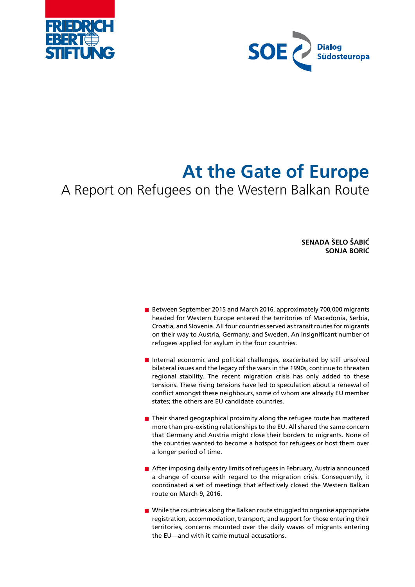



# **At the Gate of Europe**

A Report on Refugees on the Western Balkan Route

**SENADA ŠELO ŠABIĆ SONJA BORIĆ**

- Between September 2015 and March 2016, approximately 700,000 migrants headed for Western Europe entered the territories of Macedonia, Serbia, Croatia, and Slovenia. All four countries served as transit routes for migrants on their way to Austria, Germany, and Sweden. An insignificant number of refugees applied for asylum in the four countries.
- Internal economic and political challenges, exacerbated by still unsolved bilateral issues and the legacy of the wars in the 1990s, continue to threaten regional stability. The recent migration crisis has only added to these tensions. These rising tensions have led to speculation about a renewal of conflict amongst these neighbours, some of whom are already EU member states; the others are EU candidate countries.
- $\blacksquare$  Their shared geographical proximity along the refugee route has mattered more than pre-existing relationships to the EU. All shared the same concern that Germany and Austria might close their borders to migrants. None of the countries wanted to become a hotspot for refugees or host them over a longer period of time.
- After imposing daily entry limits of refugees in February, Austria announced a change of course with regard to the migration crisis. Consequently, it coordinated a set of meetings that effectively closed the Western Balkan route on March 9, 2016.
- **Net I** While the countries along the Balkan route struggled to organise appropriate registration, accommodation, transport, and support for those entering their territories, concerns mounted over the daily waves of migrants entering the EU—and with it came mutual accusations.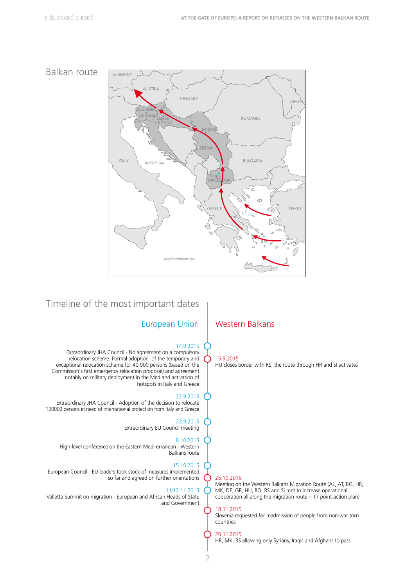

# Timeline of the most important dates

#### European Union | Western Balkans

#### 14.9.2015

Extraordinary JHA Council - No agreement on a compulsory relocation scheme. Formal adoption of the temporary and exceptional relocation scheme for 40 000 persons (based on the Commission's first emergency relocation proposal) and agreement notably on military deployment in the Med and activation of hotspots in Italy and Greece

#### 22.9.2015

Extraordinary JHA Council - Adoption of the decision to relocate 120000 persons in need of international protection from Italy and Greece

> 23.9.2015 Extraordinary EU Council meeting

#### 8.10.2015

High-level conference on the Eastern Medirerranean - Western Balkans route

#### 15.10.2015

European Council - EU leaders took stock of measures implemented so far and agreed on further orientations

#### 11/12.11.2015

Valletta Summit on migration - European and African Heads of State and Government

HU closes border with RS, the route through HR and SI activates

#### 25.10.2015

15.9.2015

Meeting on the Western Balkans Migration Route (AL, AT, BG, HR, MK, DE, GR, HU, RO, RS and SI met to increase operational cooperation all along the migration route – 17 point action plan)

#### 18.11.2015

Slovenia requested for readmission of people from non-war torn countries

#### 20.11.2015

HR, MK, RS allowing only Syrians, Iraqis and Afghans to pass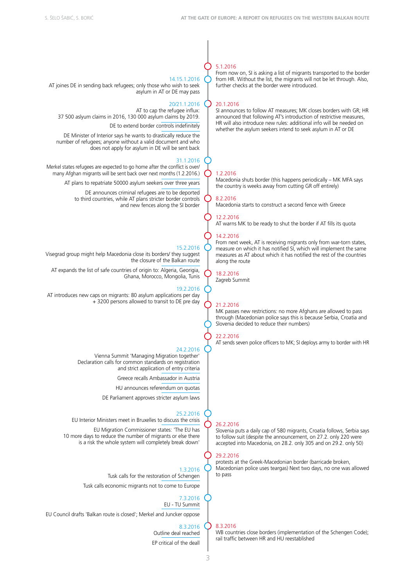### 14.15.1.2016

AT joines DE in sending back refugees; only those who wish to seek asylum in AT or DE may pass

#### 20/21.1.2016

AT to cap the refugee influx: 37 500 aslyum claims in 2016, 130 000 asylum claims by 2019.

DE to extend border controls indefinitely

DE Minister of Interior says he wants to drastically reduce the number of refugees; anyone without a valid document and who does not apply for asylum in DE will be sent back

#### 31.1.2016

Merkel states refugees are expected to go home after the conflict is over/ many Afghan migrants will be sent back over next months (1.2.2016.)

AT plans to repatriate 50000 asylum seekers over three years

DE announces criminal refugees are to be deported to third countries, while AT plans stricter border controls and new fences along the SI border

#### 15.2.2016

Visegrad group might help Macedonia close its borders/ they suggest the closure of the Balkan route

AT expands the list of safe countries of origin to: Algeria, Georigia, Ghana, Morocco, Mongolia, Tunis

#### 19.2.2016

AT introduces new caps on migrants: 80 asylum applications per day + 3200 persons allowed to transit to DE pre day

#### 24.2.2016

Vienna Summit 'Managing Migration together' Declaration calls for common standards on registration and strict application of entry criteria

Greece recalls Ambassador in Austria

HU announces referendum on quotas

DE Parliament approves stricter asylum laws

#### 25.2.2016

EU Interior Ministers meet in Bruxelles to discuss the crisis

EU Migration Commissioner states: 'The EU has 10 more days to reduce the number of migrants or else there is a risk the whole system will completely break down'

> 1.3.2016 Tusk calls for the restoration of Schengen

Tusk calls economic migrants not to come to Europe

#### 7.3.2016 EU - TU Summit

EU Council drafts 'Balkan route is closed'; Merkel and Juncker oppose

#### 8.3.2016 Outline deal reached EP critical of the deall

#### 5.1.2016

From now on, SI is asking a list of migrants transported to the border from HR. Without the list, the migrants will not be let through. Also, further checks at the border were introduced.

#### 20.1.2016

SI announces to follow AT measures; MK closes borders with GR; HR announced that following AT's introduction of restrictive measures, HR will also introduce new rules: additional info will be needed on whether the asylum seekers intend to seek asylum in AT or DE

#### 1.2.2016

Macedonia shuts border (this happens periodically – MK MFA says the country is weeks away from cutting GR off entirely)

# 8.2.2016

Macedonia starts to construct a second fence with Greece

## 12.2.2016

AT warns MK to be ready to shut the border if AT fills its quota

#### 14.2.2016

From next week, AT is receiving migrants only from war-torn states, measure on which it has notified SI, which will implement the same measures as AT about which it has notified the rest of the countries along the route

18.2.2016 Zagreb Summit

#### 21.2.2016

MK passes new restrictions: no more Afghans are allowed to pass through (Macedonian police says this is because Serbia, Croatia and Slovenia decided to reduce their numbers)

#### 22.2.2016

AT sends seven police officers to MK; SI deploys army to border with HR

#### 26.2.2016

Slovenia puts a daily cap of 580 migrants, Croatia follows, Serbia says to follow suit (despite the announcement, on 27.2. only 220 were accepted into Macedonia, on 28.2. only 305 and on 29.2. only 50)

#### 29.2.2016

protests at the Greek-Macedonian border (barricade broken, Macedonian police uses teargas) Next two days, no one was allowed to pass

#### 8.3.2016

WB countries close borders (implementation of the Schengen Code); rail traffic between HR and HU reestablished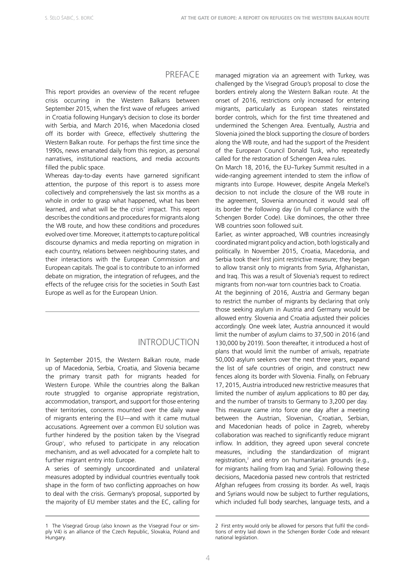#### **PREFACE**

This report provides an overview of the recent refugee crisis occurring in the Western Balkans between September 2015, when the first wave of refugees arrived in Croatia following Hungary's decision to close its border with Serbia, and March 2016, when Macedonia closed off its border with Greece, effectively shuttering the Western Balkan route. For perhaps the first time since the 1990s, news emanated daily from this region, as personal narratives, institutional reactions, and media accounts filled the public space.

Whereas day-to-day events have garnered significant attention, the purpose of this report is to assess more collectively and comprehensively the last six months as a whole in order to grasp what happened, what has been learned, and what will be the crisis' impact. This report describes the conditions and procedures for migrants along the WB route, and how these conditions and procedures evolved over time. Moreover, it attempts to capture political discourse dynamics and media reporting on migration in each country, relations between neighbouring states, and their interactions with the European Commission and European capitals. The goal is to contribute to an informed debate on migration, the integration of refugees, and the effects of the refugee crisis for the societies in South East Europe as well as for the European Union.

#### INTRODUCTION

In September 2015, the Western Balkan route, made up of Macedonia, Serbia, Croatia, and Slovenia became the primary transit path for migrants headed for Western Europe. While the countries along the Balkan route struggled to organise appropriate registration, accommodation, transport, and support for those entering their territories, concerns mounted over the daily wave of migrants entering the EU—and with it came mutual accusations. Agreement over a common EU solution was further hindered by the position taken by the Visegrad Group<sup>1</sup>, who refused to participate in any relocation mechanism, and as well advocated for a complete halt to further migrant entry into Europe.

A series of seemingly uncoordinated and unilateral measures adopted by individual countries eventually took shape in the form of two conflicting approaches on how to deal with the crisis. Germany's proposal, supported by the majority of EU member states and the EC, calling for

managed migration via an agreement with Turkey, was challenged by the Visegrad Group's proposal to close the borders entirely along the Western Balkan route. At the onset of 2016, restrictions only increased for entering migrants, particularly as European states reinstated border controls, which for the first time threatened and undermined the Schengen Area. Eventually, Austria and Slovenia joined the block supporting the closure of borders along the WB route, and had the support of the President of the European Council Donald Tusk, who repeatedly called for the restoration of Schengen Area rules.

On March 18, 2016, the EU–Turkey Summit resulted in a wide-ranging agreement intended to stem the inflow of migrants into Europe. However, despite Angela Merkel's decision to not include the closure of the WB route in the agreement, Slovenia announced it would seal off its border the following day (in full compliance with the Schengen Border Code). Like dominoes, the other three WB countries soon followed suit.

Earlier, as winter approached, WB countries increasingly coordinated migrant policy and action, both logistically and politically. In November 2015, Croatia, Macedonia, and Serbia took their first joint restrictive measure; they began to allow transit only to migrants from Syria, Afghanistan, and Iraq. This was a result of Slovenia's request to redirect migrants from non-war torn countries back to Croatia.

At the beginning of 2016, Austria and Germany began to restrict the number of migrants by declaring that only those seeking asylum in Austria and Germany would be allowed entry. Slovenia and Croatia adjusted their policies accordingly. One week later, Austria announced it would limit the number of asylum claims to 37,500 in 2016 (and 130,000 by 2019). Soon thereafter, it introduced a host of plans that would limit the number of arrivals, repatriate 50,000 asylum seekers over the next three years, expand the list of safe countries of origin, and construct new fences along its border with Slovenia. Finally, on February 17, 2015, Austria introduced new restrictive measures that limited the number of asylum applications to 80 per day, and the number of transits to Germany to 3,200 per day. This measure came into force one day after a meeting between the Austrian, Slovenian, Croatian, Serbian, and Macedonian heads of police in Zagreb, whereby collaboration was reached to significantly reduce migrant inflow. In addition, they agreed upon several concrete measures, including the standardization of migrant registration, $<sup>2</sup>$  and entry on humanitarian grounds (e.g.,</sup> for migrants hailing from Iraq and Syria). Following these decisions, Macedonia passed new controls that restricted Afghan refugees from crossing its border. As well, Iraqis and Syrians would now be subject to further regulations, which included full body searches, language tests, and a

<sup>1</sup> The Visegrad Group (also known as the Visegrad Four or simply V4) is an alliance of the Czech Republic, Slovakia, Poland and Hungary.

<sup>2</sup> First entry would only be allowed for persons that fulfil the conditions of entry laid down in the Schengen Border Code and relevant national legislation.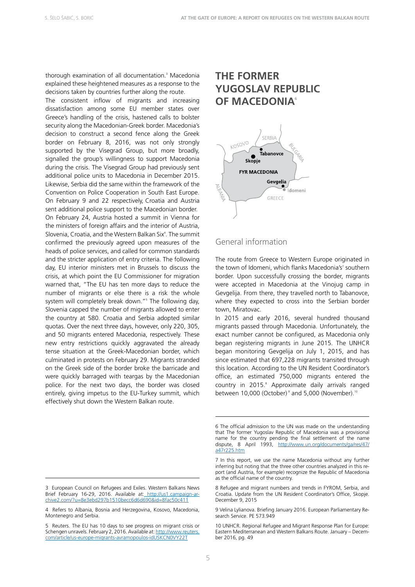thorough examination of all documentation.<sup>3</sup> Macedonia explained these heightened measures as a response to the decisions taken by countries further along the route.

The consistent inflow of migrants and increasing dissatisfaction among some EU member states over Greece's handling of the crisis, hastened calls to bolster security along the Macedonian-Greek border. Macedonia's decision to construct a second fence along the Greek border on February 8, 2016, was not only strongly supported by the Visegrad Group, but more broadly, signalled the group's willingness to support Macedonia during the crisis. The Visegrad Group had previously sent additional police units to Macedonia in December 2015. Likewise, Serbia did the same within the framework of the Convention on Police Cooperation in South East Europe. On February 9 and 22 respectively, Croatia and Austria sent additional police support to the Macedonian border. On February 24, Austria hosted a summit in Vienna for the ministers of foreign affairs and the interior of Austria, Slovenia, Croatia, and the Western Balkan Six<sup>4</sup>. The summit confirmed the previously agreed upon measures of the heads of police services, and called for common standards and the stricter application of entry criteria. The following day, EU interior ministers met in Brussels to discuss the crisis, at which point the EU Commissioner for migration warned that, "The EU has ten more days to reduce the number of migrants or else there is a risk the whole system will completely break down."5 The following day, Slovenia capped the number of migrants allowed to enter the country at 580. Croatia and Serbia adopted similar quotas. Over the next three days, however, only 220, 305, and 50 migrants entered Macedonia, respectively. These new entry restrictions quickly aggravated the already tense situation at the Greek-Macedonian border, which culminated in protests on February 29. Migrants stranded on the Greek side of the border broke the barricade and were quickly barraged with teargas by the Macedonian police. For the next two days, the border was closed entirely, giving impetus to the EU-Turkey summit, which effectively shut down the Western Balkan route.

# **THE FORMER YUGOSLAV REPUBLIC OF MACEDONIA**<sup>6</sup>



#### General information

The route from Greece to Western Europe originated in the town of Idomeni, which flanks Macedonia's<sup>7</sup> southern border. Upon successfully crossing the border, migrants were accepted in Macedonia at the Vinojug camp in Gevgelija. From there, they travelled north to Tabanovce, where they expected to cross into the Serbian border town, Miratovac.

In 2015 and early 2016, several hundred thousand migrants passed through Macedonia. Unfortunately, the exact number cannot be configured, as Macedonia only began registering migrants in June 2015. The UNHCR began monitoring Gevgelija on July 1, 2015, and has since estimated that 697,228 migrants transited through this location. According to the UN Resident Coordinator's office, an estimated 750,000 migrants entered the country in 2015.<sup>8</sup> Approximate daily arrivals ranged between 10,000 (October) $^{\circ}$  and 5,000 (November).<sup>10</sup>

<sup>3</sup> European Council on Refugees and Exiles. Western Balkans News Brief February 16-29, 2016. Available at: http://us1.campaign-archive2.com/?u=8e3ebd297b1510becc6d6d690&id=8fac50c411

<sup>4</sup> Refers to Albania, Bosnia and Herzegovina, Kosovo, Macedonia, Montenegro and Serbia.

<sup>5</sup> Reuters. The EU has 10 days to see progress on migrant crisis or Schengen unravels. February 2, 2016. Available at: [http://www.reuters.](http://www.reuters.com/article/us-europe-migrants-avramopoulos-idUSKCN0VY22T) [com/article/us-europe-migrants-avramopoulos-idUSKCN0VY22T](http://www.reuters.com/article/us-europe-migrants-avramopoulos-idUSKCN0VY22T)

<sup>6</sup> The official admission to the UN was made on the understanding that The former Yugoslav Republic of Macedonia was a provisional name for the country pending the final settlement of the name dispute, 8 April 1993, [http://www.un.org/documents/ga/res/47/](http://www.un.org/documents/ga/res/47/a47r225.htm) [a47r225.htm](http://www.un.org/documents/ga/res/47/a47r225.htm)

<sup>7</sup> In this report, we use the name Macedonia without any further inferring but noting that the three other countries analyzed in this report (and Austria, for example) recognize the Republic of Macedonia as the official name of the country.

<sup>8</sup> Refugee and migrant numbers and trends in FYROM, Serbia, and Croatia. Update from the UN Resident Coordinator's Office, Skopje. December 9, 2015

<sup>9</sup> Velina Lylianova. Briefing January 2016. European Parliamentary Research Service. PE 573.949

<sup>10</sup> UNHCR. Regional Refugee and Migrant Response Plan for Europe: Eastern Mediterranean and Western Balkans Route. January – December 2016, pg. 49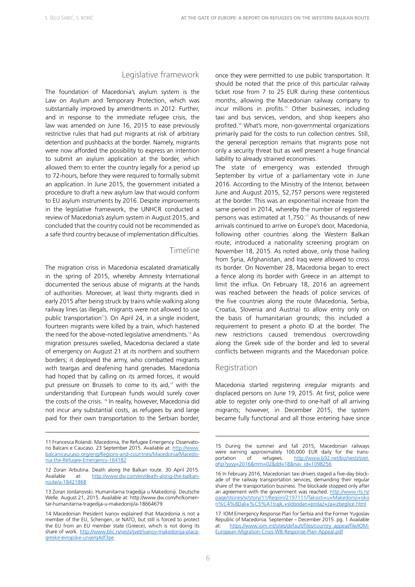#### Legislative framework

The foundation of Macedonia's asylum system is the Law on Asylum and Temporary Protection, which was substantially improved by amendments in 2012. Further, and in response to the immediate refugee crisis, the law was amended on June 16, 2015 to ease previously restrictive rules that had put migrants at risk of arbitrary detention and pushbacks at the border. Namely, migrants were now afforded the possibility to express an intention to submit an asylum application at the border, which allowed them to enter the country legally for a period up to 72-hours, before they were required to formally submit an application. In June 2015, the government initiated a procedure to draft a new asylum law that would conform to EU asylum instruments by 2016. Despite improvements in the legislative framework, the UNHCR conducted a review of Macedonia's asylum system in August 2015, and concluded that the country could not be recommended as a safe third country because of implementation difficulties.

#### Timeline

The migration crisis in Macedonia escalated dramatically in the spring of 2015, whereby Amnesty International documented the serious abuse of migrants at the hands of authorities. Moreover, at least thirty migrants died in early 2015 after being struck by trains while walking along railway lines (as illegals, migrants were not allowed to use public transportation<sup>11</sup>). On April 24, in a single incident, fourteen migrants were killed by a train, which hastened the need for the above-noted legislative amendments.<sup>12</sup> As migration pressures swelled, Macedonia declared a state of emergency on August 21 at its northern and southern borders; it deployed the army, who combatted migrants with teargas and deafening hand grenades. Macedonia had hoped that by calling on its armed forces, it would put pressure on Brussels to come to its aid,<sup>13</sup> with the understanding that European funds would surely cover the costs of the crisis.<sup>14</sup> In reality, however, Macedonia did not incur any substantial costs, as refugees by and large paid for their own transportation to the Serbian border,

once they were permitted to use public transportation. It should be noted that the price of this particular railway ticket rose from 7 to 25 EUR during these contentious months, allowing the Macedonian railway company to incur millions in profits.<sup>15</sup> Other businesses, including taxi and bus services, vendors, and shop keepers also profited.<sup>16</sup> What's more, non-governmental organizations primarily paid for the costs to run collection centres. Still, the general perception remains that migrants pose not only a security threat but as well present a huge financial liability to already strained economies.

The state of emergency was extended through September by virtue of a parliamentary vote in June 2016. According to the Ministry of the Interior, between June and August 2015, 52,757 persons were registered at the border. This was an exponential increase from the same period in 2014, whereby the number of registered persons was estimated at 1,750.<sup>17</sup> As thousands of new arrivals continued to arrive on Europe's door, Macedonia, following other countries along the Western Balkan route, introduced a nationality screening program on November 18, 2015. As noted above, only those hailing from Syria, Afghanistan, and Iraq were allowed to cross its border. On November 28, Macedonia began to erect a fence along its border with Greece in an attempt to limit the influx. On February 18, 2016 an agreement was reached between the heads of police services of the five countries along the route (Macedonia, Serbia, Croatia, Slovenia and Austria) to allow entry only on the basis of humanitarian grounds; this included a requirement to present a photo ID at the border. The new restrictions caused tremendous overcrowding along the Greek side of the border and led to several conflicts between migrants and the Macedonian police.

#### Registration

Macedonia started registering irregular migrants and displaced persons on June 19, 2015. At first, police were able to register only one-third to one-half of all arriving migrants; however, in December 2015, the system became fully functional and all those entering have since

<sup>11</sup> Francesca Rolandi. Macedonia, the Refugee Emergency. Osservatorio Balcani e Caucaso. 23 September 2015. Available at: [http://www.](http://www.balcanicaucaso.org/eng/Regions-and-countries/Macedonia/Macedonia-the-Refugee-Emergency-164182) [balcanicaucaso.org/eng/Regions-and-countries/Macedonia/Macedo](http://www.balcanicaucaso.org/eng/Regions-and-countries/Macedonia/Macedonia-the-Refugee-Emergency-164182)[nia-the-Refugee-Emergency-164182](http://www.balcanicaucaso.org/eng/Regions-and-countries/Macedonia/Macedonia-the-Refugee-Emergency-164182)

<sup>12</sup> Zoran Arbutina. Death along the Balkan route. 30 April 2015. Available at: [http://www.dw.com/en/death-along-the-balkan](http://www.dw.com/en/death-along-the-balkan-route/a-18421868)[route/a-18421868](http://www.dw.com/en/death-along-the-balkan-route/a-18421868) 

<sup>13</sup> Zoran Jordanovski. Humanitarna tragedija u Makedoniji. Deutsche Welle. August 21, 2015. Available at: http://www.dw.com/hr/komentar-humanitarna-tragedija-u-makedoniji/a-18664679

<sup>14</sup> Macedonian President Ivanov explained that Macedonia is not a member of the EU, Schengen, or NATO, but still is forced to protect the EU from an EU member state (Greece), which is not doing its share of work. [http://www.blic.rs/vesti/svet/ivanov-makedonija-placa](http://www.blic.rs/vesti/svet/ivanov-makedonija-placa-greske-evropske-unije/g4df3pe)[greske-evropske-unije/g4df3pe](http://www.blic.rs/vesti/svet/ivanov-makedonija-placa-greske-evropske-unije/g4df3pe)

<sup>15</sup> During the summer and fall 2015, Macedonian railways were earning approximately 100,000 EUR daily for the transportation of refugees. [http://www.b92.net/biz/vesti/svet.](http://www.b92.net/biz/vesti/svet.php?yyyy=2016&mm=02&dd=18&nav_id=1098256) [php?yyyy=2016&mm=02&dd=18&nav\\_id=1098256](http://www.b92.net/biz/vesti/svet.php?yyyy=2016&mm=02&dd=18&nav_id=1098256)

<sup>16</sup> In February 2016, Macedonian taxi drivers staged a five-day blockade of the railway transportation services, demanding their regular share of the transportation business. The blockade stopped only after an agreement with the government was reached. [http://www.rts.rs/](http://www.rts.rs/page/stories/sr/story/11/Region/2197111/Taksisti+u+Makedoniji+okon%C4%8Dali+%C5%A1trajk,+slobodan+prolaz+za+izbeglice.html) [page/stories/sr/story/11/Region/2197111/Taksisti+u+Makedoniji+oko](http://www.rts.rs/page/stories/sr/story/11/Region/2197111/Taksisti+u+Makedoniji+okon%C4%8Dali+%C5%A1trajk,+slobodan+prolaz+za+izbeglice.html) [n%C4%8Dali+%C5%A1trajk,+slobodan+prolaz+za+izbeglice.html](http://www.rts.rs/page/stories/sr/story/11/Region/2197111/Taksisti+u+Makedoniji+okon%C4%8Dali+%C5%A1trajk,+slobodan+prolaz+za+izbeglice.html) 

<sup>17</sup> IOM Emergency Response Plan for Serbia and the Former Yugoslav Republic of Macedonia. September – December 2015. pg. 1 Available at: [https://www.iom.int/sites/default/files/country\\_appeal/file/IOM-](https://www.iom.int/sites/default/files/country_appeal/file/IOM-European-Migration-Crisis-WB-Response-Plan-Appeal.pdf)[European-Migration-Crisis-WB-Response-Plan-Appeal.pdf](https://www.iom.int/sites/default/files/country_appeal/file/IOM-European-Migration-Crisis-WB-Response-Plan-Appeal.pdf)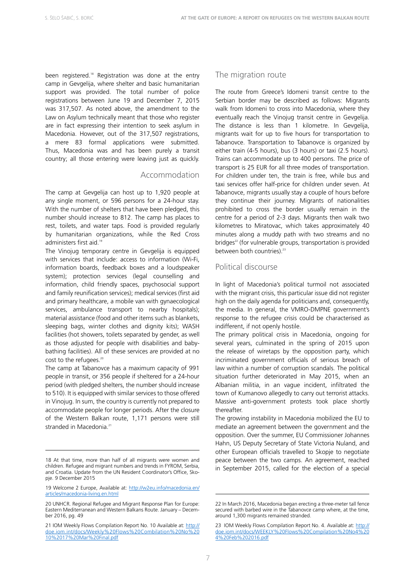been registered.<sup>18</sup> Registration was done at the entry camp in Gevgelija, where shelter and basic humanitarian support was provided. The total number of police registrations between June 19 and December 7, 2015 was 317,507. As noted above, the amendment to the Law on Asylum technically meant that those who register are in fact expressing their intention to seek asylum in Macedonia. However, out of the 317,507 registrations, a mere 83 formal applications were submitted. Thus, Macedonia was and has been purely a transit country; all those entering were leaving just as quickly.

#### Accommodation

The camp at Gevgelija can host up to 1,920 people at any single moment, or 596 persons for a 24-hour stay. With the number of shelters that have been pledged, this number should increase to 812. The camp has places to rest, toilets, and water taps. Food is provided regularly by humanitarian organizations, while the Red Cross administers first aid.19

The Vinojug temporary centre in Gevgelija is equipped with services that include: access to information (Wi-Fi, information boards, feedback boxes and a loudspeaker system); protection services (legal counselling and information, child friendly spaces, psychosocial support and family reunification services); medical services (first aid and primary healthcare, a mobile van with gynaecological services, ambulance transport to nearby hospitals); material assistance (food and other items such as blankets, sleeping bags, winter clothes and dignity kits); WASH facilities (hot showers, toilets separated by gender, as well as those adjusted for people with disabilities and babybathing facilities). All of these services are provided at no cost to the refugees.<sup>20</sup>

The camp at Tabanovce has a maximum capacity of 991 people in transit, or 356 people if sheltered for a 24-hour period (with pledged shelters, the number should increase to 510). It is equipped with similar services to those offered in Vinojug. In sum, the country is currently not prepared to accommodate people for longer periods. After the closure of the Western Balkan route, 1,171 persons were still stranded in Macedonia.<sup>2</sup>

#### The migration route

The route from Greece's Idomeni transit centre to the Serbian border may be described as follows: Migrants walk from Idomeni to cross into Macedonia, where they eventually reach the Vinojug transit centre in Gevgelija. The distance is less than 1 kilometre. In Gevgelija, migrants wait for up to five hours for transportation to Tabanovce. Transportation to Tabanovce is organized by either train (4-5 hours), bus (3 hours) or taxi (2.5 hours). Trains can accommodate up to 400 persons. The price of transport is 25 EUR for all three modes of transportation. For children under ten, the train is free, while bus and taxi services offer half-price for children under seven. At Tabanovce, migrants usually stay a couple of hours before they continue their journey. Migrants of nationalities prohibited to cross the border usually remain in the centre for a period of 2-3 days. Migrants then walk two kilometres to Miratovac, which takes approximately 40 minutes along a muddy path with two streams and no bridges<sup>22</sup> (for vulnerable groups, transportation is provided between both countries)<sup>23</sup>

#### Political discourse

In light of Macedonia's political turmoil not associated with the migrant crisis, this particular issue did not register high on the daily agenda for politicians and, consequently, the media. In general, the VMRO-DMPNE government's response to the refugee crisis could be characterised as indifferent, if not openly hostile.

The primary political crisis in Macedonia, ongoing for several years, culminated in the spring of 2015 upon the release of wiretaps by the opposition party, which incriminated government officials of serious breach of law within a number of corruption scandals. The political situation further deteriorated in May 2015, when an Albanian militia, in an vague incident, infiltrated the town of Kumanovo allegedly to carry out terrorist attacks. Massive anti-government protests took place shortly thereafter.

The growing instability in Macedonia mobilized the EU to mediate an agreement between the government and the opposition. Over the summer, EU Commissioner Johannes Hahn, US Deputy Secretary of State Victoria Nuland, and other European officials travelled to Skopje to negotiate peace between the two camps. An agreement, reached in September 2015, called for the election of a special

<sup>18</sup> At that time, more than half of all migrants were women and children. Refugee and migrant numbers and trends in FYROM, Serbia, and Croatia. Update from the UN Resident Coordinator's Office, Skopje. 9 December 2015

<sup>19</sup> Welcome 2 Europe, Available at: [http://w2eu.info/macedonia.en/](http://w2eu.info/macedonia.en/articles/macedonia-living.en.html) [articles/macedonia-living.en.html](http://w2eu.info/macedonia.en/articles/macedonia-living.en.html)

<sup>20</sup> UNHCR. Regional Refugee and Migrant Response Plan for Europe: Eastern Mediterranean and Western Balkans Route. January – December 2016, pg. 49

<sup>21</sup> IOM Weekly Flows Compilation Report No. 10 Available at: [http://](http://doe.iom.int/docs/Weekly%20Flows%20Combilation%20No%2010%2017%20Mar%20Final.pdf) [doe.iom.int/docs/Weekly%20Flows%20Combilation%20No%20](http://doe.iom.int/docs/Weekly%20Flows%20Combilation%20No%2010%2017%20Mar%20Final.pdf) [10%2017%20Mar%20Final.pdf](http://doe.iom.int/docs/Weekly%20Flows%20Combilation%20No%2010%2017%20Mar%20Final.pdf)

<sup>22</sup> In March 2016, Macedonia began erecting a three-meter tall fence secured with barbed wire in the Tabanovce camp where, at the time, around 1,300 migrants remained stranded.

<sup>23</sup> IOM Weekly Flows Compilation Report No. 4. Available at: [http://](http://doe.iom.int/docs/WEEKLY%20Flows%20Compilation%20No4%204%20Feb%202016.pdf) [doe.iom.int/docs/WEEKLY%20Flows%20Compilation%20No4%20](http://doe.iom.int/docs/WEEKLY%20Flows%20Compilation%20No4%204%20Feb%202016.pdf) [4%20Feb%202016.pdf](http://doe.iom.int/docs/WEEKLY%20Flows%20Compilation%20No4%204%20Feb%202016.pdf)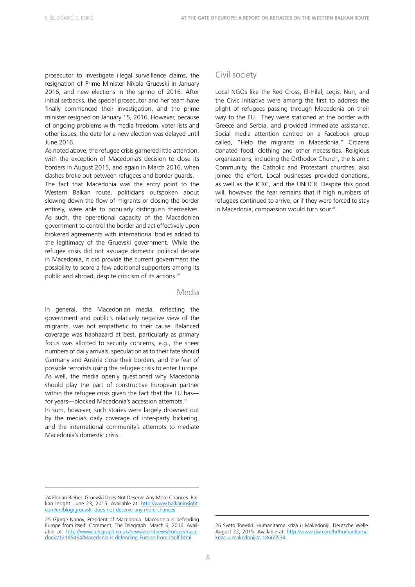prosecutor to investigate illegal surveillance claims, the resignation of Prime Minister Nikola Gruevski in January 2016, and new elections in the spring of 2016. After initial setbacks, the special prosecutor and her team have finally commenced their investigation, and the prime minister resigned on January 15, 2016. However, because of ongoing problems with media freedom, voter lists and other issues, the date for a new election was delayed until June 2016.

As noted above, the refugee crisis garnered little attention, with the exception of Macedonia's decision to close its borders in August 2015, and again in March 2016, when clashes broke out between refugees and border guards.

The fact that Macedonia was the entry point to the Western Balkan route, politicians outspoken about slowing down the flow of migrants or closing the border entirely, were able to popularly distinguish themselves. As such, the operational capacity of the Macedonian government to control the border and act effectively upon brokered agreements with international bodies added to the legitimacy of the Gruevski government. While the refugee crisis did not assuage domestic political debate in Macedonia, it did provide the current government the possibility to score a few additional supporters among its public and abroad, despite criticism of its actions.<sup>24</sup>

#### Media

In general, the Macedonian media, reflecting the government and public's relatively negative view of the migrants, was not empathetic to their cause. Balanced coverage was haphazard at best, particularly as primary focus was allotted to security concerns, e.g., the sheer numbers of daily arrivals, speculation as to their fate should Germany and Austria close their borders, and the fear of possible terrorists using the refugee crisis to enter Europe. As well, the media openly questioned why Macedonia should play the part of constructive European partner within the refugee crisis given the fact that the EU has for years—blocked Macedonia's accession attempts.25 In sum, however, such stories were largely drowned out by the media's daily coverage of inter-party bickering, and the international community's attempts to mediate Macedonia's domestic crisis.

#### Civil society

Local NGOs like the Red Cross, El-Hilal, Legis, Nun, and the Civic Initiative were among the first to address the plight of refugees passing through Macedonia on their way to the EU. They were stationed at the border with Greece and Serbia, and provided immediate assistance. Social media attention centred on a Facebook group called, "Help the migrants in Macedonia." Citizens donated food, clothing and other necessities. Religious organizations, including the Orthodox Church, the Islamic Community, the Catholic and Protestant churches, also joined the effort. Local businesses provided donations, as well as the ICRC, and the UNHCR. Despite this good will, however, the fear remains that if high numbers of refugees continued to arrive, or if they were forced to stay in Macedonia, compassion would turn sour.<sup>26</sup>

<sup>24</sup> Florian Bieber. Gruevski Does Not Deserve Any More Chances. Balkan Insight. June 23, 2015. Available at: [http://www.balkaninsight.](http://www.balkaninsight.com/en/blog/gruevski-does-not-deserve-any-more-chances) [com/en/blog/gruevski-does-not-deserve-any-more-chances](http://www.balkaninsight.com/en/blog/gruevski-does-not-deserve-any-more-chances)

<sup>25</sup> Gjorge Ivanov, President of Macedonia. Macedonia is defending Europe from itself. Comment, The Telegraph. March 6, 2016. Available at: [http://www.telegraph.co.uk/news/worldnews/europe/mace](http://www.telegraph.co.uk/news/worldnews/europe/macedonia/12185464/Macedonia-is-defending-Europe-from-itself.html)[donia/12185464/Macedonia-is-defending-Europe-from-itself.html](http://www.telegraph.co.uk/news/worldnews/europe/macedonia/12185464/Macedonia-is-defending-Europe-from-itself.html)

<sup>26</sup> Sveto Toevski. Humanitarna kriza u Makedoniji. Deutsche Welle. August 22, 2015. Available at: [http://www.dw.com/hr/humanitarna](http://www.dw.com/hr/humanitarna-kriza-u-makedoniji/a-18665534)[kriza-u-makedoniji/a-18665534](http://www.dw.com/hr/humanitarna-kriza-u-makedoniji/a-18665534)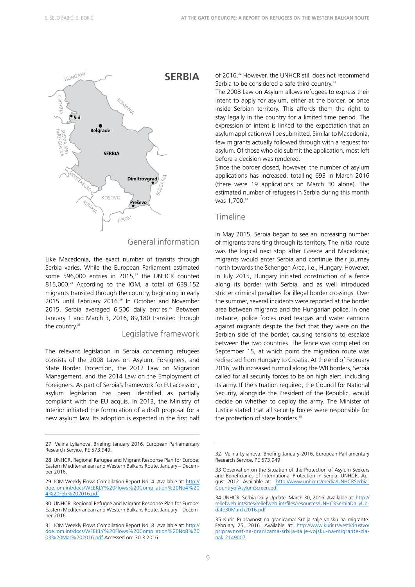

#### General information

Like Macedonia, the exact number of transits through Serbia varies. While the European Parliament estimated some 596,000 entries in 2015, $^{27}$  the UNHCR counted 815,000.<sup>28</sup> According to the IOM, a total of 639,152 migrants transited through the country, beginning in early 2015 until February 2016.<sup>29</sup> In October and November 2015, Serbia averaged 6,500 daily entries.<sup>30</sup> Between January 1 and March 3, 2016, 89,180 transited through the country.<sup>31</sup>

#### Legislative framework

The relevant legislation in Serbia concerning refugees consists of the 2008 Laws on Asylum, Foreigners, and State Border Protection, the 2012 Law on Migration Management, and the 2014 Law on the Employment of Foreigners. As part of Serbia's framework for EU accession, asylum legislation has been identified as partially compliant with the EU acquis. In 2013, the Ministry of Interior initiated the formulation of a draft proposal for a new asylum law. Its adoption is expected in the first half of 2016.<sup>32</sup> However, the UNHCR still does not recommend Serbia to be considered a safe third country.<sup>33</sup>

The 2008 Law on Asylum allows refugees to express their intent to apply for asylum, either at the border, or once inside Serbian territory. This affords them the right to stay legally in the country for a limited time period. The expression of intent is linked to the expectation that an asylum application will be submitted. Similar to Macedonia, few migrants actually followed through with a request for asylum. Of those who did submit the application, most left before a decision was rendered.

Since the border closed, however, the number of asylum applications has increased, totalling 693 in March 2016 (there were 19 applications on March 30 alone). The estimated number of refugees in Serbia during this month was 1.700.<sup>34</sup>

#### Timeline

In May 2015, Serbia began to see an increasing number of migrants transiting through its territory. The initial route was the logical next stop after Greece and Macedonia; migrants would enter Serbia and continue their journey north towards the Schengen Area, i.e., Hungary. However, in July 2015, Hungary initiated construction of a fence along its border with Serbia, and as well introduced stricter criminal penalties for illegal border crossings. Over the summer, several incidents were reported at the border area between migrants and the Hungarian police. In one instance, police forces used teargas and water cannons against migrants despite the fact that they were on the Serbian side of the border, causing tensions to escalate between the two countries. The fence was completed on September 15, at which point the migration route was redirected from Hungary to Croatia. At the end of February 2016, with increased turmoil along the WB borders, Serbia called for all security forces to be on high alert, including its army. If the situation required, the Council for National Security, alongside the President of the Republic, would decide on whether to deploy the army. The Minister of Justice stated that all security forces were responsible for the protection of state borders.<sup>35</sup>

<sup>27</sup> Velina Lylianova. Briefing January 2016. European Parliamentary Research Service. PE 573.949.

<sup>28</sup> UNHCR. Regional Refugee and Migrant Response Plan for Europe: Eastern Mediterranean and Western Balkans Route. January – December 2016.

<sup>29</sup> IOM Weekly Flows Compilation Report No. 4. Available at: [http://](http://doe.iom.int/docs/WEEKLY%20Flows%20Compilation%20No4%204%20Feb%202016.pdf) [doe.iom.int/docs/WEEKLY%20Flows%20Compilation%20No4%20](http://doe.iom.int/docs/WEEKLY%20Flows%20Compilation%20No4%204%20Feb%202016.pdf) [4%20Feb%202016.pdf](http://doe.iom.int/docs/WEEKLY%20Flows%20Compilation%20No4%204%20Feb%202016.pdf)

<sup>30</sup> UNHCR. Regional Refugee and Migrant Response Plan for Europe: Eastern Mediterranean and Western Balkans Route. January – December 2016

<sup>31</sup> IOM Weekly Flows Compilation Report No. 8. Available at: [http://](http://doe.iom.int/docs/WEEKLY%20Flows%20Compilation%20No8%2003%20Mar%202016.pdf) [doe.iom.int/docs/WEEKLY%20Flows%20Compilation%20No8%20](http://doe.iom.int/docs/WEEKLY%20Flows%20Compilation%20No8%2003%20Mar%202016.pdf) [03%20Mar%202016.pdf](http://doe.iom.int/docs/WEEKLY%20Flows%20Compilation%20No8%2003%20Mar%202016.pdf) Accessed on: 30.3.2016.

<sup>32</sup> Velina Lylianova. Briefing January 2016. European Parliamentary Research Service. PE 573.949

<sup>33</sup> Observation on the Situation of the Protection of Asylum Seekers and Beneficiaries of International Protection in Serbia. UNHCR. August 2012. Available at: [http://www.unhcr.rs/media/UNHCRSerbia-](http://www.unhcr.rs/media/UNHCRSerbiaCountryofAsylumScreen.pdf)[CountryofAsylumScreen.pdf](http://www.unhcr.rs/media/UNHCRSerbiaCountryofAsylumScreen.pdf) 

<sup>34</sup> UNHCR. Serbia Daily Update. March 30, 2016. Available at: [http://](http://reliefweb.int/sites/reliefweb.int/files/resources/UNHCRSerbiaDailyUpdate30March2016.pdf) [reliefweb.int/sites/reliefweb.int/files/resources/UNHCRSerbiaDailyUp](http://reliefweb.int/sites/reliefweb.int/files/resources/UNHCRSerbiaDailyUpdate30March2016.pdf)[date30March2016.pdf](http://reliefweb.int/sites/reliefweb.int/files/resources/UNHCRSerbiaDailyUpdate30March2016.pdf)

<sup>35</sup> Kurir. Pripravnost na granicama: Srbija šalje vojsku na migrante. February 25, 2016. Available at: [http://www.kurir.rs/vesti/drustvo/](http://www.kurir.rs/vesti/drustvo/pripravnost-na-granicama-srbija-salje-vojsku-na-migrante-clanak-2149007) [pripravnost-na-granicama-srbija-salje-vojsku-na-migrante-cla](http://www.kurir.rs/vesti/drustvo/pripravnost-na-granicama-srbija-salje-vojsku-na-migrante-clanak-2149007)[nak-2149007](http://www.kurir.rs/vesti/drustvo/pripravnost-na-granicama-srbija-salje-vojsku-na-migrante-clanak-2149007)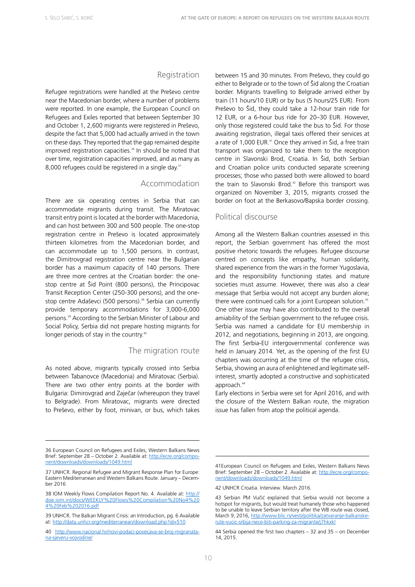#### Registration

Refugee registrations were handled at the Preševo centre near the Macedonian border, where a number of problems were reported. In one example, the European Council on Refugees and Exiles reported that between September 30 and October 1, 2,600 migrants were registered in Preševo, despite the fact that 5,000 had actually arrived in the town on these days. They reported that the gap remained despite improved registration capacities.<sup>36</sup> In should be noted that over time, registration capacities improved, and as many as 8,000 refugees could be registered in a single day.<sup>37</sup>

#### Accommodation

There are six operating centres in Serbia that can accommodate migrants during transit. The Miratovac transit entry point is located at the border with Macedonia, and can host between 300 and 500 people. The one-stop registration centre in Preševo is located approximately thirteen kilometres from the Macedonian border, and can accommodate up to 1,500 persons. In contrast, the Dimitrovgrad registration centre near the Bulgarian border has a maximum capacity of 140 persons. There are three more centres at the Croatian border: the onestop centre at Šid Point (800 persons), the Principovac Transit Reception Center (250-300 persons), and the onestop centre Adaševci (500 persons).<sup>38</sup> Serbia can currently provide temporary accommodations for 3,000-6,000 persons.39 According to the Serbian Minister of Labour and Social Policy, Serbia did not prepare hosting migrants for longer periods of stay in the country.<sup>40</sup>

#### The migration route

As noted above, migrants typically crossed into Serbia between Tabanovce (Macedonia) and Miratovac (Serbia). There are two other entry points at the border with Bulgaria: Dimirovgrad and Zaječar (whereupon they travel to Belgrade). From Miratovac, migrants were directed to Preševo, either by foot, minivan, or bus, which takes

between 15 and 30 minutes. From Preševo, they could go either to Belgrade or to the town of Šid along the Croatian border. Migrants travelling to Belgrade arrived either by train (11 hours/10 EUR) or by bus (5 hours/25 EUR). From Preševo to Šid, they could take a 12-hour train ride for 12 EUR, or a 6-hour bus ride for 20–30 EUR. However, only those registered could take the bus to Šid. For those awaiting registration, illegal taxis offered their services at a rate of 1,000 EUR.<sup>41</sup> Once they arrived in Šid, a free train transport was organized to take them to the reception centre in Slavonski Brod, Croatia. In Šid, both Serbian and Croatian police units conducted separate screening processes; those who passed both were allowed to board the train to Slavonski Brod.<sup>42</sup> Before this transport was organized on November 3, 2015, migrants crossed the border on foot at the Berkasovo/Bapska border crossing.

#### Political discourse

Among all the Western Balkan countries assessed in this report, the Serbian government has offered the most positive rhetoric towards the refugees. Refugee discourse centred on concepts like empathy, human solidarity, shared experience from the wars in the former Yugoslavia, and the responsibility functioning states and mature societies must assume. However, there was also a clear message that Serbia would not accept any burden alone; there were continued calls for a joint European solution.<sup>43</sup> One other issue may have also contributed to the overall amiability of the Serbian government to the refugee crisis. Serbia was named a candidate for EU membership in 2012, and negotiations, beginning in 2013, are ongoing. The first Serbia-EU intergovernmental conference was held in January 2014. Yet, as the opening of the first EU chapters was occurring at the time of the refugee crisis, Serbia, showing an aura of enlightened and legitimate selfinterest, smartly adopted a constructive and sophisticated approach.<sup>44</sup>

Early elections in Serbia were set for April 2016, and with the closure of the Western Balkan route, the migration issue has fallen from atop the political agenda.

<sup>36</sup> European Council on Refugees and Exiles, Western Balkans News Brief: September 28 – October 2. Available at: [http://ecre.org/compo](http://ecre.org/component/downloads/downloads/1049.html)[nent/downloads/downloads/1049.html](http://ecre.org/component/downloads/downloads/1049.html)

<sup>37</sup> UNHCR. Regional Refugee and Migrant Response Plan for Europe: Eastern Mediterranean and Western Balkans Route. January – December 2016

<sup>38</sup> IOM Weekly Flows Compilation Report No. 4. Available at: [http://](http://doe.iom.int/docs/WEEKLY%20Flows%20Compilation%20No4%204%20Feb%202016.pdf) [doe.iom.int/docs/WEEKLY%20Flows%20Compilation%20No4%20](http://doe.iom.int/docs/WEEKLY%20Flows%20Compilation%20No4%204%20Feb%202016.pdf) [4%20Feb%202016.pdf](http://doe.iom.int/docs/WEEKLY%20Flows%20Compilation%20No4%204%20Feb%202016.pdf)

<sup>39</sup> UNHCR. The Balkan Migrant Crisis: an Introduction, pg. 6 Available at: <http://data.unhcr.org/mediterranean/download.php?id=510>

<sup>40</sup> [http://www.nacional.hr/novi-podaci-povecava-se-broj-migranata](http://www.nacional.hr/novi-podaci-povecava-se-broj-migranata-na-sjeveru-vojvodine/)[na-sjeveru-vojvodine/](http://www.nacional.hr/novi-podaci-povecava-se-broj-migranata-na-sjeveru-vojvodine/)

<sup>41</sup>European Council on Refugees and Exiles, Western Balkans News Brief: September 28 – October 2. Available at: [http://ecre.org/compo](http://ecre.org/component/downloads/downloads/1049.html)[nent/downloads/downloads/1049.html](http://ecre.org/component/downloads/downloads/1049.html)

<sup>42</sup> UNHCR Croatia. Interview. March 2016.

<sup>43</sup> Serbian PM Vučić explained that Serbia would not become a hotspot for migrants, but would treat humanely those who happened to be unable to leave Serbian territory after the WB route was closed, March 9, 2016, [http://www.blic.rs/vesti/politika/zatvaranje-balkanske](http://www.blic.rs/vesti/politika/zatvaranje-balkanske-rute-vucic-srbija-nece-biti-parking-za-migrante/j7hkxkl)[rute-vucic-srbija-nece-biti-parking-za-migrante/j7hkxkl](http://www.blic.rs/vesti/politika/zatvaranje-balkanske-rute-vucic-srbija-nece-biti-parking-za-migrante/j7hkxkl)

<sup>44</sup> Serbia opened the first two chapters – 32 and 35 – on December 14, 2015.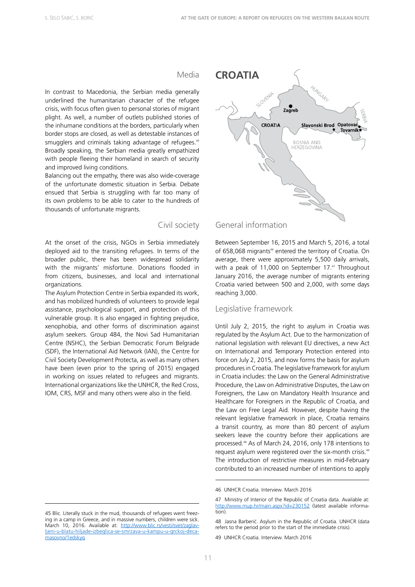#### Media

In contrast to Macedonia, the Serbian media generally underlined the humanitarian character of the refugee crisis, with focus often given to personal stories of migrant plight. As well, a number of outlets published stories of the inhumane conditions at the borders, particularly when border stops are closed, as well as detestable instances of smugglers and criminals taking advantage of refugees.<sup>45</sup> Broadly speaking, the Serbian media greatly empathized with people fleeing their homeland in search of security and improved living conditions.

Balancing out the empathy, there was also wide-coverage of the unfortunate domestic situation in Serbia. Debate ensued that Serbia is struggling with far too many of its own problems to be able to cater to the hundreds of thousands of unfortunate migrants.

#### Civil society

At the onset of the crisis, NGOs in Serbia immediately deployed aid to the transiting refugees. In terms of the broader public, there has been widespread solidarity with the migrants' misfortune. Donations flooded in from citizens, businesses, and local and international organizations.

The Asylum Protection Centre in Serbia expanded its work, and has mobilized hundreds of volunteers to provide legal assistance, psychological support, and protection of this vulnerable group. It is also engaged in fighting prejudice, xenophobia, and other forms of discrimination against asylum seekers. Group 484, the Novi Sad Humanitarian Centre (NSHC), the Serbian Democratic Forum Belgrade (SDF), the International Aid Network (IAN), the Centre for Civil Society Development Protecta, as well as many others have been (even prior to the spring of 2015) engaged in working on issues related to refugees and migrants. International organizations like the UNHCR, the Red Cross, IOM, CRS, MSF and many others were also in the field.



#### General information

Between September 16, 2015 and March 5, 2016, a total of 658,068 migrants<sup>46</sup> entered the territory of Croatia. On average, there were approximately 5,500 daily arrivals, with a peak of 11,000 on September 17.47 Throughout January 2016, the average number of migrants entering Croatia varied between 500 and 2,000, with some days reaching 3,000.

#### Legislative framework

Until July 2, 2015, the right to asylum in Croatia was regulated by the Asylum Act. Due to the harmonization of national legislation with relevant EU directives, a new Act on International and Temporary Protection entered into force on July 2, 2015, and now forms the basis for asylum procedures in Croatia. The legislative framework for asylum in Croatia includes: the Law on the General Administrative Procedure, the Law on Administrative Disputes, the Law on Foreigners, the Law on Mandatory Health Insurance and Healthcare for Foreigners in the Republic of Croatia, and the Law on Free Legal Aid. However, despite having the relevant legislative framework in place, Croatia remains a transit country, as more than 80 percent of asylum seekers leave the country before their applications are processed.48 As of March 24, 2016, only 178 intentions to request asylum were registered over the six-month crisis.<sup>49</sup> The introduction of restrictive measures in mid-February contributed to an increased number of intentions to apply

<sup>45</sup> Blic. Literally stuck in the mud, thousands of refugees went freezing in a camp in Greece, and in massive numbers, children were sick. March 10, 2016. Available at: [http://www.blic.rs/vesti/svet/zaglav](http://www.blic.rs/vesti/svet/zaglavljeni-u-blatu-hiljade-izbeglica-se-smrzava-u-kampu-u-grckoj-deca-masovno/1edskyq)[ljeni-u-blatu-hiljade-izbeglica-se-smrzava-u-kampu-u-grckoj-deca](http://www.blic.rs/vesti/svet/zaglavljeni-u-blatu-hiljade-izbeglica-se-smrzava-u-kampu-u-grckoj-deca-masovno/1edskyq)[masovno/1edskyq](http://www.blic.rs/vesti/svet/zaglavljeni-u-blatu-hiljade-izbeglica-se-smrzava-u-kampu-u-grckoj-deca-masovno/1edskyq)

<sup>46</sup> UNHCR Croatia. Interview. March 2016

<sup>47</sup> Ministry of Interior of the Republic of Croatia data. Available at: <http://www.mup.hr/main.aspx?id=230152> (latest available information).

<sup>48</sup> Jasna Barberić. Asylum in the Republic of Croatia. UNHCR (data refers to the period prior to the start of the immediate crisis).

<sup>49</sup> UNHCR Croatia. Interview. March 2016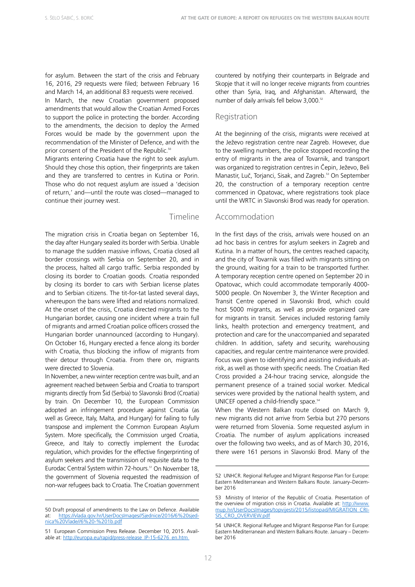for asylum. Between the start of the crisis and February 16, 2016, 29 requests were filed; between February 16 and March 14, an additional 83 requests were received.

In March, the new Croatian government proposed amendments that would allow the Croatian Armed Forces to support the police in protecting the border. According to the amendments, the decision to deploy the Armed Forces would be made by the government upon the recommendation of the Minister of Defence, and with the prior consent of the President of the Republic.<sup>50</sup>

Migrants entering Croatia have the right to seek asylum. Should they chose this option, their fingerprints are taken and they are transferred to centres in Kutina or Porin. Those who do not request asylum are issued a 'decision of return,' and—until the route was closed—managed to continue their journey west.

#### Timeline

The migration crisis in Croatia began on September 16, the day after Hungary sealed its border with Serbia. Unable to manage the sudden massive inflows, Croatia closed all border crossings with Serbia on September 20, and in the process, halted all cargo traffic. Serbia responded by closing its border to Croatian goods. Croatia responded by closing its border to cars with Serbian license plates and to Serbian citizens. The tit-for-tat lasted several days, whereupon the bans were lifted and relations normalized. At the onset of the crisis, Croatia directed migrants to the Hungarian border, causing one incident where a train full of migrants and armed Croatian police officers crossed the Hungarian border unannounced (according to Hungary). On October 16, Hungary erected a fence along its border with Croatia, thus blocking the inflow of migrants from their detour through Croatia. From there on, migrants were directed to Slovenia.

In November, a new winter reception centre was built, and an agreement reached between Serbia and Croatia to transport migrants directly from Šid (Serbia) to Slavonski Brod (Croatia) by train. On December 10, the European Commission adopted an infringement procedure against Croatia (as well as Greece, Italy, Malta, and Hungary) for failing to fully transpose and implement the Common European Asylum System. More specifically, the Commission urged Croatia, Greece, and Italy to correctly implement the Eurodac regulation, which provides for the effective fingerprinting of asylum seekers and the transmission of requisite data to the Eurodac Central System within 72-hours.<sup>51</sup> On November 18, the government of Slovenia requested the readmission of non-war refugees back to Croatia. The Croatian government countered by notifying their counterparts in Belgrade and Skopje that it will no longer receive migrants from countries other than Syria, Iraq, and Afghanistan. Afterward, the number of daily arrivals fell below 3,000.<sup>52</sup>

#### Registration

At the beginning of the crisis, migrants were received at the Ježevo registration centre near Zagreb. However, due to the swelling numbers, the police stopped recording the entry of migrants in the area of Tovarnik, and transport was organized to registration centres in Čepin, Ježevo, Beli Manastir, Luč, Torjanci, Sisak, and Zagreb.<sup>53</sup> On September 20, the construction of a temporary reception centre commenced in Opatovac, where registrations took place until the WRTC in Slavonski Brod was ready for operation.

#### Accommodation

In the first days of the crisis, arrivals were housed on an ad hoc basis in centres for asylum seekers in Zagreb and Kutina. In a matter of hours, the centres reached capacity, and the city of Tovarnik was filled with migrants sitting on the ground, waiting for a train to be transported further. A temporary reception centre opened on September 20 in Opatovac, which could accommodate temporarily 4000- 5000 people. On November 3, the Winter Reception and Transit Centre opened in Slavonski Brod, which could host 5000 migrants, as well as provide organized care for migrants in transit. Services included restoring family links, health protection and emergency treatment, and protection and care for the unaccompanied and separated children. In addition, safety and security, warehousing capacities, and regular centre maintenance were provided. Focus was given to identifying and assisting individuals atrisk, as well as those with specific needs. The Croatian Red Cross provided a 24-hour tracing service, alongside the permanent presence of a trained social worker. Medical services were provided by the national health system, and UNICEF opened a child-friendly space.<sup>54</sup>

When the Western Balkan route closed on March 9, new migrants did not arrive from Serbia but 270 persons were returned from Slovenia. Some requested asylum in Croatia. The number of asylum applications increased over the following two weeks, and as of March 30, 2016, there were 161 persons in Slavonski Brod. Many of the

<sup>50</sup> Draft proposal of amendments to the Law on Defence. Available at: [https://vlada.gov.hr/UserDocsImages//Sjednice/2016/6%20sjed](https://vlada.gov.hr/UserDocsImages//Sjednice/2016/6%20sjednica%20Vlade//6%20-%201b.pdf)[nica%20Vlade//6%20-%201b.pdf](https://vlada.gov.hr/UserDocsImages//Sjednice/2016/6%20sjednica%20Vlade//6%20-%201b.pdf)

<sup>51</sup> European Commission Press Release. December 10, 2015. Available at: [http://europa.eu/rapid/press-release\\_IP-15-6276\\_en.htm](http://europa.eu/rapid/press-release_IP-15-6276_en.htm)

<sup>52</sup> UNHCR. Regional Refugee and Migrant Response Plan for Europe: Eastern Mediterranean and Western Balkans Route. January–December 2016

<sup>53</sup> Ministry of Interior of the Republic of Croatia. Presentation of the overview of migration crisis in Croatia. Available at: [http://www.](http://www.mup.hr/UserDocsImages/topvijesti/2015/listopad/MIGRATION_CRISIS_CRO_OVERVIEW.pdf) [mup.hr/UserDocsImages/topvijesti/2015/listopad/MIGRATION\\_CRI-](http://www.mup.hr/UserDocsImages/topvijesti/2015/listopad/MIGRATION_CRISIS_CRO_OVERVIEW.pdf)[SIS\\_CRO\\_OVERVIEW.pdf](http://www.mup.hr/UserDocsImages/topvijesti/2015/listopad/MIGRATION_CRISIS_CRO_OVERVIEW.pdf) 

<sup>54</sup> UNHCR. Regional Refugee and Migrant Response Plan for Europe: Eastern Mediterranean and Western Balkans Route. January – December 2016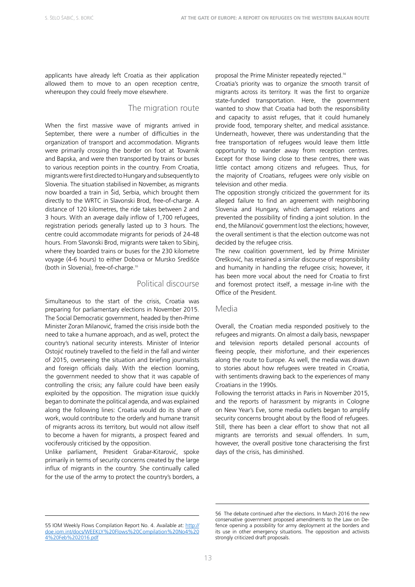applicants have already left Croatia as their application allowed them to move to an open reception centre, whereupon they could freely move elsewhere.

#### The migration route

When the first massive wave of migrants arrived in September, there were a number of difficulties in the organization of transport and accommodation. Migrants were primarily crossing the border on foot at Tovarnik and Bapska, and were then transported by trains or buses to various reception points in the country. From Croatia, migrants were first directed to Hungary and subsequently to Slovenia. The situation stabilised in November, as migrants now boarded a train in Šid, Serbia, which brought them directly to the WRTC in Slavonski Brod, free-of-charge. A distance of 120 kilometres, the ride takes between 2 and 3 hours. With an average daily inflow of 1,700 refugees, registration periods generally lasted up to 3 hours. The centre could accommodate migrants for periods of 24-48 hours. From Slavonski Brod, migrants were taken to Sibinj, where they boarded trains or buses for the 230 kilometre voyage (4-6 hours) to either Dobova or Mursko Središće (both in Slovenia), free-of-charge.<sup>55</sup>

#### Political discourse

Simultaneous to the start of the crisis, Croatia was preparing for parliamentary elections in November 2015. The Social Democratic government, headed by then-Prime Minister Zoran Milanović, framed the crisis inside both the need to take a humane approach, and as well, protect the country's national security interests. Minister of Interior Ostojić routinely travelled to the field in the fall and winter of 2015, overseeing the situation and briefing journalists and foreign officials daily. With the election looming, the government needed to show that it was capable of controlling the crisis; any failure could have been easily exploited by the opposition. The migration issue quickly began to dominate the political agenda, and was explained along the following lines: Croatia would do its share of work, would contribute to the orderly and humane transit of migrants across its territory, but would not allow itself to become a haven for migrants, a prospect feared and vociferously criticised by the opposition.

Unlike parliament, President Grabar-Kitarović, spoke primarily in terms of security concerns created by the large influx of migrants in the country. She continually called for the use of the army to protect the country's borders, a proposal the Prime Minister repeatedly rejected.<sup>56</sup>

Croatia's priority was to organize the smooth transit of migrants across its territory. It was the first to organize state-funded transportation. Here, the government wanted to show that Croatia had both the responsibility and capacity to assist refuges, that it could humanely provide food, temporary shelter, and medical assistance. Underneath, however, there was understanding that the free transportation of refugees would leave them little opportunity to wander away from reception centres. Except for those living close to these centres, there was little contact among citizens and refugees. Thus, for the majority of Croatians, refugees were only visible on television and other media.

The opposition strongly criticized the government for its alleged failure to find an agreement with neighboring Slovenia and Hungary, which damaged relations and prevented the possibility of finding a joint solution. In the end, the Milanović government lost the elections; however, the overall sentiment is that the election outcome was not decided by the refugee crisis.

The new coalition government, led by Prime Minister Orešković, has retained a similar discourse of responsibility and humanity in handling the refugee crisis; however, it has been more vocal about the need for Croatia to first and foremost protect itself, a message in-line with the Office of the President.

#### Media

Overall, the Croatian media responded positively to the refugees and migrants. On almost a daily basis, newspaper and television reports detailed personal accounts of fleeing people, their misfortune, and their experiences along the route to Europe. As well, the media was drawn to stories about how refugees were treated in Croatia, with sentiments drawing back to the experiences of many Croatians in the 1990s.

Following the terrorist attacks in Paris in November 2015, and the reports of harassment by migrants in Cologne on New Year's Eve, some media outlets began to amplify security concerns brought about by the flood of refugees. Still, there has been a clear effort to show that not all migrants are terrorists and sexual offenders. In sum, however, the overall positive tone characterising the first days of the crisis, has diminished.

<sup>55</sup> IOM Weekly Flows Compilation Report No. 4. Available at: [http://](http://doe.iom.int/docs/WEEKLY%20Flows%20Compilation%20No4%204%20Feb%202016.pdf) [doe.iom.int/docs/WEEKLY%20Flows%20Compilation%20No4%20](http://doe.iom.int/docs/WEEKLY%20Flows%20Compilation%20No4%204%20Feb%202016.pdf) [4%20Feb%202016.pdf](http://doe.iom.int/docs/WEEKLY%20Flows%20Compilation%20No4%204%20Feb%202016.pdf)

<sup>56</sup> The debate continued after the elections. In March 2016 the new conservative government proposed amendments to the Law on Defence opening a possibility for army deployment at the borders and its use in other emergency situations. The opposition and activists strongly criticized draft proposals.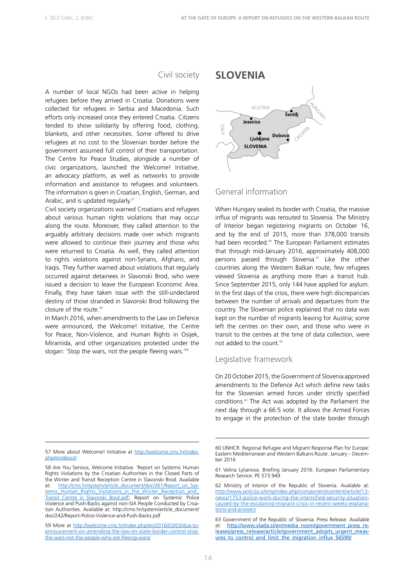#### Civil society

A number of local NGOs had been active in helping refugees before they arrived in Croatia. Donations were collected for refugees in Serbia and Macedonia. Such efforts only increased once they entered Croatia. Citizens tended to show solidarity by offering food, clothing, blankets, and other necessities. Some offered to drive refugees at no cost to the Slovenian border before the government assumed full control of their transportation. The Centre for Peace Studies, alongside a number of civic organizations, launched the Welcome! Initiative, an advocacy platform, as well as networks to provide information and assistance to refugees and volunteers. The information is given in Croatian, English, German, and Arabic, and is updated regularly.<sup>57</sup>

Civil society organizations warned Croatians and refugees about various human rights violations that may occur along the route. Moreover, they called attention to the arguably arbitrary decisions made over which migrants were allowed to continue their journey and those who were returned to Croatia. As well, they called attention to rights violations against non-Syrians, Afghans, and Iraqis. They further warned about violations that regularly occurred against detainees in Slavonski Brod, who were issued a decision to leave the European Economic Area. Finally, they have taken issue with the still-undeclared destiny of those stranded in Slavonski Brod following the closure of the route.<sup>58</sup>

In March 2016, when amendments to the Law on Defence were announced, the Welcome! Initiative, the Centre for Peace, Non-Violence, and Human Rights in Osijek, Miramida, and other organizations protested under the slogan: 'Stop the wars, not the people fleeing wars.'<sup>55</sup>

57 More about Welcome! Initiative at [http://welcome.cms.hr/index.](http://welcome.cms.hr/index.php/en/about/) [php/en/about/](http://welcome.cms.hr/index.php/en/about/)



#### General information

When Hungary sealed its border with Croatia, the massive influx of migrants was rerouted to Slovenia. The Ministry of Interior began registering migrants on October 16, and by the end of 2015, more than 378,000 transits had been recorded.<sup>60</sup> The European Parliament estimates that through mid-January 2016, approximately 408,000 persons passed through Slovenia.<sup>61</sup> Like the other countries along the Western Balkan route, few refugees viewed Slovenia as anything more than a transit hub. Since September 2015, only 144 have applied for asylum. In the first days of the crisis, there were high discrepancies between the number of arrivals and departures from the country. The Slovenian police explained that no data was kept on the number of migrants leaving for Austria; some left the centres on their own, and those who were in transit to the centres at the time of data collection, were not added to the count  $62$ 

#### Legislative framework

On 20 October 2015, the Government of Slovenia approved amendments to the Defence Act which define new tasks for the Slovenian armed forces under strictly specified conditions.63 The Act was adopted by the Parliament the next day through a 66:5 vote. It allows the Armed Forces to engage in the protection of the state border through

<sup>58</sup> Are You Serious, Welcome Initiative. 'Report on Systemic Human Rights Violations by the Croatian Authorities in the Closed Parts of the Winter and Transit Reception Centre in Slavonski Brod. Available at: [http://cms.hr/system/article\\_document/doc/261/Report\\_on\\_Sys](http://cms.hr/system/article_document/doc/261/Report_on_Systemic_Human_Rights_Violations_in_the_Winter_Reception_and_Transit_Centre_in_Slavonski_Brod.pdf)[temic\\_Human\\_Rights\\_Violations\\_in\\_the\\_Winter\\_Reception\\_and\\_](http://cms.hr/system/article_document/doc/261/Report_on_Systemic_Human_Rights_Violations_in_the_Winter_Reception_and_Transit_Centre_in_Slavonski_Brod.pdf) Transit Centre in Slavonski Brod.pdf; Report on Systemic Police Violence and Push-Backs against non-SIA People Conducted by Croatian Authorities. Available at: http://cms.hr/system/article\_document/ doc/242/Report-Police-Violence-and-Push-Backs.pdf

<sup>59</sup> More at [http://welcome.cms.hr/index.php/en/2016/03/03/due-to](http://welcome.cms.hr/index.php/en/2016/03/03/due-to-annoucement-on-amending-the-law-on-state-border-control-stop-the-wars-not-the-people-who-are-fleeing-wars/)[annoucement-on-amending-the-law-on-state-border-control-stop](http://welcome.cms.hr/index.php/en/2016/03/03/due-to-annoucement-on-amending-the-law-on-state-border-control-stop-the-wars-not-the-people-who-are-fleeing-wars/)[the-wars-not-the-people-who-are-fleeing-wars/](http://welcome.cms.hr/index.php/en/2016/03/03/due-to-annoucement-on-amending-the-law-on-state-border-control-stop-the-wars-not-the-people-who-are-fleeing-wars/)

<sup>60</sup> UNHCR. Regional Refugee and Migrant Response Plan for Europe: Eastern Mediterranean and Western Balkans Route. January – December 2016

<sup>61</sup> Velina Lylianova. Briefing January 2016. European Parliamentary Research Service. PE 573.949

<sup>62</sup> Ministry of Interior of the Republic of Slovenia. Available at: [http://www.policija.si/eng/index.php/component/content/article/13](http://www.policija.si/eng/index.php/component/content/article/13-news/1753-police-work-during-the-intensified-security-situation-caused-by-the-escalating-migrant-crisis-in-recent-weeks-explanations-and-answers) [news/1753-police-work-during-the-intensified-security-situation](http://www.policija.si/eng/index.php/component/content/article/13-news/1753-police-work-during-the-intensified-security-situation-caused-by-the-escalating-migrant-crisis-in-recent-weeks-explanations-and-answers)[caused-by-the-escalating-migrant-crisis-in-recent-weeks-explana](http://www.policija.si/eng/index.php/component/content/article/13-news/1753-police-work-during-the-intensified-security-situation-caused-by-the-escalating-migrant-crisis-in-recent-weeks-explanations-and-answers)[tions-and-answers](http://www.policija.si/eng/index.php/component/content/article/13-news/1753-police-work-during-the-intensified-security-situation-caused-by-the-escalating-migrant-crisis-in-recent-weeks-explanations-and-answers)

<sup>63</sup> Government of the Republic of Slovenia. Press Release. Available at: [http://www.vlada.si/en/media\\_room/government\\_press\\_re](http://www.vlada.si/en/media_room/government_press_releases/press_release/article/government_adopts_urgent_measures_to_control_and_limit_the_migration_influx_56590/)[leases/press\\_release/article/government\\_adopts\\_urgent\\_meas](http://www.vlada.si/en/media_room/government_press_releases/press_release/article/government_adopts_urgent_measures_to_control_and_limit_the_migration_influx_56590/)[ures\\_to\\_control\\_and\\_limit\\_the\\_migration\\_influx\\_56590/](http://www.vlada.si/en/media_room/government_press_releases/press_release/article/government_adopts_urgent_measures_to_control_and_limit_the_migration_influx_56590/)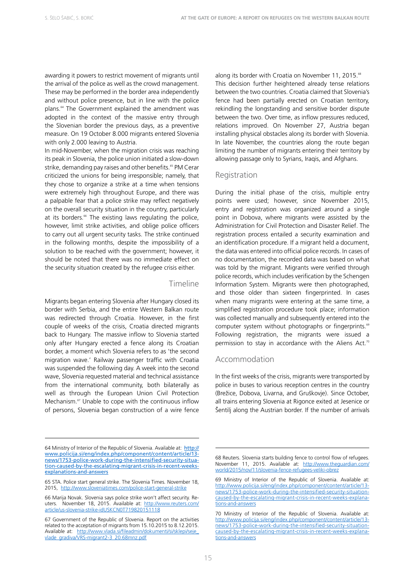awarding it powers to restrict movement of migrants until the arrival of the police as well as the crowd management. These may be performed in the border area independently and without police presence, but in line with the police plans.<sup>64</sup> The Government explained the amendment was adopted in the context of the massive entry through the Slovenian border the previous days, as a preventive measure. On 19 October 8.000 migrants entered Slovenia with only 2.000 leaving to Austria.

In mid-November, when the migration crisis was reaching its peak in Slovenia, the police union initiated a slow-down strike, demanding pay raises and other benefits.<sup>65</sup> PM Cerar criticized the unions for being irresponsible; namely, that they chose to organize a strike at a time when tensions were extremely high throughout Europe, and there was a palpable fear that a police strike may reflect negatively on the overall security situation in the country, particularly at its borders.<sup>66</sup> The existing laws regulating the police, however, limit strike activities, and oblige police officers to carry out all urgent security tasks. The strike continued in the following months, despite the impossibility of a solution to be reached with the government; however, it should be noted that there was no immediate effect on the security situation created by the refugee crisis either.

#### Timeline

Migrants began entering Slovenia after Hungary closed its border with Serbia, and the entire Western Balkan route was redirected through Croatia. However, in the first couple of weeks of the crisis, Croatia directed migrants back to Hungary. The massive inflow to Slovenia started only after Hungary erected a fence along its Croatian border, a moment which Slovenia refers to as 'the second migration wave.' Railway passenger traffic with Croatia was suspended the following day. A week into the second wave, Slovenia requested material and technical assistance from the international community, both bilaterally as well as through the European Union Civil Protection Mechanism.<sup>67</sup> Unable to cope with the continuous inflow of persons, Slovenia began construction of a wire fence

along its border with Croatia on November 11, 2015.<sup>68</sup> This decision further heightened already tense relations between the two countries. Croatia claimed that Slovenia's fence had been partially erected on Croatian territory, rekindling the longstanding and sensitive border dispute between the two. Over time, as inflow pressures reduced, relations improved. On November 27, Austria began installing physical obstacles along its border with Slovenia. In late November, the countries along the route began limiting the number of migrants entering their territory by allowing passage only to Syrians, Iraqis, and Afghans.

#### Registration

During the initial phase of the crisis, multiple entry points were used; however, since November 2015, entry and registration was organized around a single point in Dobova, where migrants were assisted by the Administration for Civil Protection and Disaster Relief. The registration process entailed a security examination and an identification procedure. If a migrant held a document, the data was entered into official police records. In cases of no documentation, the recorded data was based on what was told by the migrant. Migrants were verified through police records, which includes verification by the Schengen Information System. Migrants were then photographed, and those older than sixteen fingerprinted. In cases when many migrants were entering at the same time, a simplified registration procedure took place; information was collected manually and subsequently entered into the computer system without photographs or fingerprints.<sup>69</sup> Following registration, the migrants were issued a permission to stay in accordance with the Aliens Act.<sup>70</sup>

#### Accommodation

In the first weeks of the crisis, migrants were transported by police in buses to various reception centres in the country (Brežice, Dobova, Livarna, and Gruškovje). Since October, all trains entering Slovenia at Rigonce exited at Jesenice or Šentilj along the Austrian border. If the number of arrivals

<sup>64</sup> Ministry of Interior of the Republic of Slovenia. Available at: [http://](http://www.policija.si/eng/index.php/component/content/article/13-news/1753-police-work-during-the-intensified-security-situation-caused-by-the-escalating-migrant-crisis-in-recent-weeks-explanations-and-answers) [www.policija.si/eng/index.php/component/content/article/13](http://www.policija.si/eng/index.php/component/content/article/13-news/1753-police-work-during-the-intensified-security-situation-caused-by-the-escalating-migrant-crisis-in-recent-weeks-explanations-and-answers) [news/1753-police-work-during-the-intensified-security-situa](http://www.policija.si/eng/index.php/component/content/article/13-news/1753-police-work-during-the-intensified-security-situation-caused-by-the-escalating-migrant-crisis-in-recent-weeks-explanations-and-answers)[tion-caused-by-the-escalating-migrant-crisis-in-recent-weeks](http://www.policija.si/eng/index.php/component/content/article/13-news/1753-police-work-during-the-intensified-security-situation-caused-by-the-escalating-migrant-crisis-in-recent-weeks-explanations-and-answers)[explanations-and-answers](http://www.policija.si/eng/index.php/component/content/article/13-news/1753-police-work-during-the-intensified-security-situation-caused-by-the-escalating-migrant-crisis-in-recent-weeks-explanations-and-answers)

<sup>65</sup> STA. Police start general strike. The Slovenia Times*.* November 18, 2015, <http://www.sloveniatimes.com/police-start-general-strike>

<sup>66</sup> Marija Novak. Slovenia says police strike won't affect security. Reuters*.* November 18, 2015. Available at: [http://www.reuters.com/](http://www.reuters.com/article/us-slovenia-strike-idUSKCN0T719820151118) [article/us-slovenia-strike-idUSKCN0T719820151118](http://www.reuters.com/article/us-slovenia-strike-idUSKCN0T719820151118) 

<sup>67</sup> Government of the Republic of Slovenia. Report on the activities related to the acceptation of migrants from 15.10.2015 to 8.12.2015. Available at: [http://www.vlada.si/fileadmin/dokumenti/si/sklepi/seje\\_](http://www.vlada.si/fileadmin/dokumenti/si/sklepi/seje_vlade_gradiva/VRS-migrant2-3_20.68mnz.pdf) [vlade\\_gradiva/VRS-migrant2-3\\_20.68mnz.pdf](http://www.vlada.si/fileadmin/dokumenti/si/sklepi/seje_vlade_gradiva/VRS-migrant2-3_20.68mnz.pdf)

<sup>68</sup> Reuters. Slovenia starts building fence to control flow of refugees. November 11, 2015. Available at: [http://www.theguardian.com/](http://www.theguardian.com/world/2015/nov/11/slovenia-fence-refugees-veliki-obrez) [world/2015/nov/11/slovenia-fence-refugees-veliki-obrez](http://www.theguardian.com/world/2015/nov/11/slovenia-fence-refugees-veliki-obrez)

<sup>69</sup> Ministry of Interior of the Republic of Slovenia. Available at: [http://www.policija.si/eng/index.php/component/content/article/13](http://www.policija.si/eng/index.php/component/content/article/13-news/1753-police-work-during-the-intensified-security-situation-caused-by-the-escalating-migrant-crisis-in-recent-weeks-explanations-and-answers) [news/1753-police-work-during-the-intensified-security-situation](http://www.policija.si/eng/index.php/component/content/article/13-news/1753-police-work-during-the-intensified-security-situation-caused-by-the-escalating-migrant-crisis-in-recent-weeks-explanations-and-answers)[caused-by-the-escalating-migrant-crisis-in-recent-weeks-explana](http://www.policija.si/eng/index.php/component/content/article/13-news/1753-police-work-during-the-intensified-security-situation-caused-by-the-escalating-migrant-crisis-in-recent-weeks-explanations-and-answers)[tions-and-answers](http://www.policija.si/eng/index.php/component/content/article/13-news/1753-police-work-during-the-intensified-security-situation-caused-by-the-escalating-migrant-crisis-in-recent-weeks-explanations-and-answers)

<sup>70</sup> Ministry of Interior of the Republic of Slovenia. Available at: [http://www.policija.si/eng/index.php/component/content/article/13](http://www.policija.si/eng/index.php/component/content/article/13-news/1753-police-work-during-the-intensified-security-situation-caused-by-the-escalating-migrant-crisis-in-recent-weeks-explanations-and-answers) [news/1753-police-work-during-the-intensified-security-situation](http://www.policija.si/eng/index.php/component/content/article/13-news/1753-police-work-during-the-intensified-security-situation-caused-by-the-escalating-migrant-crisis-in-recent-weeks-explanations-and-answers)[caused-by-the-escalating-migrant-crisis-in-recent-weeks-explana](http://www.policija.si/eng/index.php/component/content/article/13-news/1753-police-work-during-the-intensified-security-situation-caused-by-the-escalating-migrant-crisis-in-recent-weeks-explanations-and-answers)[tions-and-answers](http://www.policija.si/eng/index.php/component/content/article/13-news/1753-police-work-during-the-intensified-security-situation-caused-by-the-escalating-migrant-crisis-in-recent-weeks-explanations-and-answers)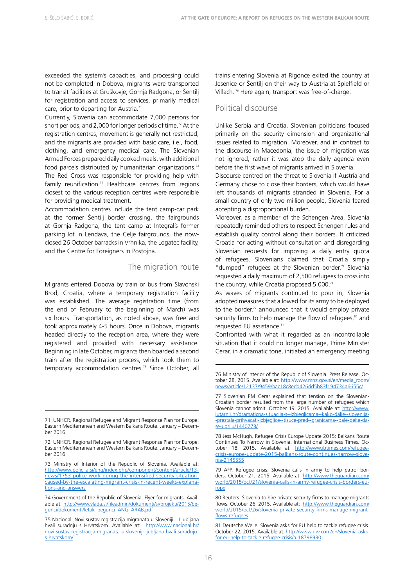exceeded the system's capacities, and processing could not be completed in Dobova, migrants were transported to transit facilities at Gruškovje, Gornja Radgona, or Šentilj for registration and access to services, primarily medical care, prior to departing for Austria.<sup>71</sup>

Currently, Slovenia can accommodate 7,000 persons for short periods, and 2,000 for longer periods of time.<sup>72</sup> At the registration centres, movement is generally not restricted, and the migrants are provided with basic care, i.e., food, clothing, and emergency medical care. The Slovenian Armed Forces prepared daily cooked meals, with additional food parcels distributed by humanitarian organizations.<sup>73</sup> The Red Cross was responsible for providing help with family reunification.<sup>74</sup> Healthcare centres from regions closest to the various reception centres were responsible for providing medical treatment.

Accommodation centres include the tent camp-car park at the former Šentilj border crossing, the fairgrounds at Gornja Radgona, the tent camp at Integral's former parking lot in Lendava, the Celje fairgrounds, the nowclosed 26 October barracks in Vrhnika, the Logatec facility, and the Centre for Foreigners in Postojna.

#### The migration route

Migrants entered Dobova by train or bus from Slavonski Brod, Croatia, where a temporary registration facility was established. The average registration time (from the end of February to the beginning of March) was six hours. Transportation, as noted above, was free and took approximately 4-5 hours. Once in Dobova, migrants headed directly to the reception area, where they were registered and provided with necessary assistance. Beginning in late October, migrants then boarded a second train after the registration process, which took them to temporary accommodation centres.<sup>75</sup> Since October, all

trains entering Slovenia at Rigonce exited the country at Jesenice or Šentilj on their way to Austria at Spielfield or Villach. 76 Here again, transport was free-of-charge.

#### Political discourse

Unlike Serbia and Croatia, Slovenian politicians focused primarily on the security dimension and organizational issues related to migration. Moreover, and in contrast to the discourse in Macedonia, the issue of migration was not ignored, rather it was atop the daily agenda even before the first wave of migrants arrived in Slovenia.

Discourse centred on the threat to Slovenia if Austria and Germany chose to close their borders, which would have left thousands of migrants stranded in Slovenia. For a small country of only two million people, Slovenia feared accepting a disproportional burden.

Moreover, as a member of the Schengen Area, Slovenia repeatedly reminded others to respect Schengen rules and establish quality control along their borders. It criticized Croatia for acting without consultation and disregarding Slovenian requests for imposing a daily entry quota of refugees. Slovenians claimed that Croatia simply "dumped" refugees at the Slovenian border. $77$  Slovenia requested a daily maximum of 2,500 refugees to cross into the country, while Croatia proposed 5,000.78

As waves of migrants continued to pour in, Slovenia adopted measures that allowed for its army to be deployed to the border,<sup>79</sup> announced that it would employ private security firms to help manage the flow of refugees, $80$  and requested EU assistance.<sup>81</sup>

Confronted with what it regarded as an incontrollable situation that it could no longer manage, Prime Minister Cerar, in a dramatic tone, initiated an emergency meeting

<sup>71</sup> UNHCR. Regional Refugee and Migrant Response Plan for Europe: Eastern Mediterranean and Western Balkans Route. January – December 2016

<sup>72</sup> UNHCR. Regional Refugee and Migrant Response Plan for Europe: Eastern Mediterranean and Western Balkans Route. January – December 2016

<sup>73</sup> Ministry of Interior of the Republic of Slovenia. Available at: [http://www.policija.si/eng/index.php/component/content/article/13](http://www.policija.si/eng/index.php/component/content/article/13-news/1753-police-work-during-the-intensified-security-situation-caused-by-the-escalating-migrant-crisis-in-recent-weeks-explanations-and-answers) [news/1753-police-work-during-the-intensified-security-situation](http://www.policija.si/eng/index.php/component/content/article/13-news/1753-police-work-during-the-intensified-security-situation-caused-by-the-escalating-migrant-crisis-in-recent-weeks-explanations-and-answers)[caused-by-the-escalating-migrant-crisis-in-recent-weeks-explana](http://www.policija.si/eng/index.php/component/content/article/13-news/1753-police-work-during-the-intensified-security-situation-caused-by-the-escalating-migrant-crisis-in-recent-weeks-explanations-and-answers)[tions-and-answers](http://www.policija.si/eng/index.php/component/content/article/13-news/1753-police-work-during-the-intensified-security-situation-caused-by-the-escalating-migrant-crisis-in-recent-weeks-explanations-and-answers)

<sup>74</sup> Government of the Republic of Slovenia. Flyer for migrants. Available at: [http://www.vlada.si/fileadmin/dokumenti/si/projekti/2015/be](http://www.vlada.si/fileadmin/dokumenti/si/projekti/2015/begunci/dokumenti/letak_begunci_ANG_ARAB.pdf)[gunci/dokumenti/letak\\_begunci\\_ANG\\_ARAB.pdf](http://www.vlada.si/fileadmin/dokumenti/si/projekti/2015/begunci/dokumenti/letak_begunci_ANG_ARAB.pdf)

<sup>75</sup> Nacional. Novi sustav registracija migranata u Sloveniji – Ljubljana hvali suradnju s Hrvatskom. Available at: [http://www.nacional.hr/](http://www.nacional.hr/novi-sustav-registracija-migranata-u-sloveniji-ljubljana-hvali-suradnju-s-hrvatskom/) [novi-sustav-registracija-migranata-u-sloveniji-ljubljana-hvali-suradnju](http://www.nacional.hr/novi-sustav-registracija-migranata-u-sloveniji-ljubljana-hvali-suradnju-s-hrvatskom/)[s-hrvatskom/](http://www.nacional.hr/novi-sustav-registracija-migranata-u-sloveniji-ljubljana-hvali-suradnju-s-hrvatskom/)

<sup>76</sup> Ministry of Interior of the Republic of Slovenia. Press Release. October 28, 2015. Available at: [http://www.mnz.gov.si/en/media\\_room/](http://www.mnz.gov.si/en/media_room/news/article/12137/9459/bac18c8edd426dd5b83f194734a6655c/) [news/article/12137/9459/bac18c8edd426dd5b83f194734a6655c/](http://www.mnz.gov.si/en/media_room/news/article/12137/9459/bac18c8edd426dd5b83f194734a6655c/)

<sup>77</sup> Slovenian PM Cerar explained that tension on the Slovenian-Croatian border resulted from the large number of refugees which Slovenia cannot admit. October 19, 2015. Available at: [http://www.](http://www.jutarnji.hr/dramaticna-situacija-s--izbjeglicama--kako-dalje--slovenija--prestala-prihvacati-izbjeglice--tisuce-pred--granicama--pale-deke-da-se-ugriju/1440773/) [jutarnji.hr/dramaticna-situacija-s--izbjeglicama--kako-dalje--slovenija-](http://www.jutarnji.hr/dramaticna-situacija-s--izbjeglicama--kako-dalje--slovenija--prestala-prihvacati-izbjeglice--tisuce-pred--granicama--pale-deke-da-se-ugriju/1440773/) [-prestala-prihvacati-izbjeglice--tisuce-pred--granicama--pale-deke-da](http://www.jutarnji.hr/dramaticna-situacija-s--izbjeglicama--kako-dalje--slovenija--prestala-prihvacati-izbjeglice--tisuce-pred--granicama--pale-deke-da-se-ugriju/1440773/)[se-ugriju/1440773/](http://www.jutarnji.hr/dramaticna-situacija-s--izbjeglicama--kako-dalje--slovenija--prestala-prihvacati-izbjeglice--tisuce-pred--granicama--pale-deke-da-se-ugriju/1440773/)

<sup>78</sup> Jess McHugh. Refugee Crisis Europe Update 2015: Balkans Route Continues To Narrow in Slovenia. International Business Times. October 18, 2015. Available at: [http://www.ibtimes.com/refugee](http://www.ibtimes.com/refugee-crisis-europe-update-2015-balkans-route-continues-narrow-slovenia-2145555)[crisis-europe-update-2015-balkans-route-continues-narrow-slove](http://www.ibtimes.com/refugee-crisis-europe-update-2015-balkans-route-continues-narrow-slovenia-2145555)[nia-2145555](http://www.ibtimes.com/refugee-crisis-europe-update-2015-balkans-route-continues-narrow-slovenia-2145555)

<sup>79</sup> AFP. Refugee crisis: Slovenia calls in army to help patrol borders. October 21, 2015. Available at: [http://www.theguardian.com/](http://www.theguardian.com/world/2015/oct/21/slovenia-calls-in-army-refugee-crisis-borders-europe) [world/2015/oct/21/slovenia-calls-in-army-refugee-crisis-borders-eu](http://www.theguardian.com/world/2015/oct/21/slovenia-calls-in-army-refugee-crisis-borders-europe)[rope](http://www.theguardian.com/world/2015/oct/21/slovenia-calls-in-army-refugee-crisis-borders-europe)

<sup>80</sup> Reuters. Slovenia to hire private security firms to manage migrants flows. October 26, 2015. Available at: [http://www.theguardian.com/](http://www.theguardian.com/world/2015/oct/26/slovenia-private-security-firms-manage-migrant-flows-refugees) [world/2015/oct/26/slovenia-private-security-firms-manage-migrant](http://www.theguardian.com/world/2015/oct/26/slovenia-private-security-firms-manage-migrant-flows-refugees)[flows-refugees](http://www.theguardian.com/world/2015/oct/26/slovenia-private-security-firms-manage-migrant-flows-refugees)

<sup>81</sup> Deutsche Welle. Slovenia asks for EU help to tackle refugee crisis. October 22, 2015. Available at: [http://www.dw.com/en/slovenia-asks](http://www.dw.com/en/slovenia-asks-for-eu-help-to-tackle-refugee-crisis/a-18798930)[for-eu-help-to-tackle-refugee-crisis/a-18798930](http://www.dw.com/en/slovenia-asks-for-eu-help-to-tackle-refugee-crisis/a-18798930)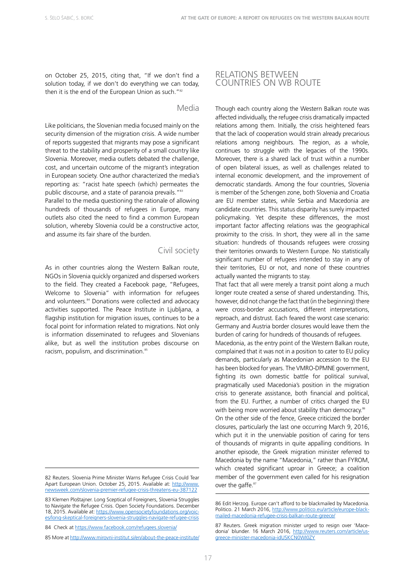on October 25, 2015, citing that, "If we don't find a solution today, if we don't do everything we can today, then it is the end of the European Union as such."<sup>82</sup>

#### Media

Like politicians, the Slovenian media focused mainly on the security dimension of the migration crisis. A wide number of reports suggested that migrants may pose a significant threat to the stability and prosperity of a small country like Slovenia. Moreover, media outlets debated the challenge, cost, and uncertain outcome of the migrant's integration in European society. One author characterized the media's reporting as: "racist hate speech (which) permeates the public discourse, and a state of paranoia prevails."<sup>83</sup>

Parallel to the media questioning the rationale of allowing hundreds of thousands of refugees in Europe, many outlets also cited the need to find a common European solution, whereby Slovenia could be a constructive actor, and assume its fair share of the burden.

#### Civil society

As in other countries along the Western Balkan route, NGOs in Slovenia quickly organized and dispersed workers to the field. They created a Facebook page, "Refugees, Welcome to Slovenia" with information for refugees and volunteers.<sup>84</sup> Donations were collected and advocacy activities supported. The Peace Institute in Ljubljana, a flagship institution for migration issues, continues to be a focal point for information related to migrations. Not only is information disseminated to refugees and Slovenians alike, but as well the institution probes discourse on racism, populism, and discrimination.<sup>85</sup>

#### RELATIONS BETWEEN COUNTRIES ON WB ROUTE

Though each country along the Western Balkan route was affected individually, the refugee crisis dramatically impacted relations among them. Initially, the crisis heightened fears that the lack of cooperation would strain already precarious relations among neighbours. The region, as a whole, continues to struggle with the legacies of the 1990s. Moreover, there is a shared lack of trust within a number of open bilateral issues, as well as challenges related to internal economic development, and the improvement of democratic standards. Among the four countries, Slovenia is member of the Schengen zone, both Slovenia and Croatia are EU member states, while Serbia and Macedonia are candidate countries. This status disparity has surely impacted policymaking. Yet despite these differences, the most important factor affecting relations was the geographical proximity to the crisis. In short, they were all in the same situation: hundreds of thousands refugees were crossing their territories onwards to Western Europe. No statistically significant number of refugees intended to stay in any of their territories, EU or not, and none of these countries actually wanted the migrants to stay.

That fact that all were merely a transit point along a much longer route created a sense of shared understanding. This, however, did not change the fact that (in the beginning) there were cross-border accusations, different interpretations, reproach, and distrust. Each feared the worst case scenario: Germany and Austria border closures would leave them the burden of caring for hundreds of thousands of refugees.

Macedonia, as the entry point of the Western Balkan route, complained that it was not in a position to cater to EU policy demands, particularly as Macedonian accession to the EU has been blocked for years. The VMRO-DPMNE government, fighting its own domestic battle for political survival, pragmatically used Macedonia's position in the migration crisis to generate assistance, both financial and political, from the EU. Further, a number of critics charged the EU with being more worried about stability than democracy.<sup>86</sup> On the other side of the fence, Greece criticized the border closures, particularly the last one occurring March 9, 2016, which put it in the unenviable position of caring for tens

of thousands of migrants in quite appalling conditions. In another episode, the Greek migration minister referred to Macedonia by the name "Macedonia," rather than FYROM, which created significant uproar in Greece; a coalition member of the government even called for his resignation over the gaffe.<sup>87</sup>

<sup>82</sup> Reuters. Slovenia Prime Minister Warns Refugee Crisis Could Tear Apart European Union. October 25, 2015. Available at: [http://www.](http://www.newsweek.com/slovenia-premier-refugee-crisis-threatens-eu-387122) [newsweek.com/slovenia-premier-refugee-crisis-threatens-eu-387122](http://www.newsweek.com/slovenia-premier-refugee-crisis-threatens-eu-387122)

<sup>83</sup> Klemen Ploštajner. Long Sceptical of Foreigners, Slovenia Struggles to Navigate the Refugee Crisis. Open Society Foundations. December 18, 2015. Available at: [https://www.opensocietyfoundations.org/voic](https://www.opensocietyfoundations.org/voices/long-skeptical-foreigners-slovenia-struggles-navigate-refugee-crisis)[es/long-skeptical-foreigners-slovenia-struggles-navigate-refugee-crisis](https://www.opensocietyfoundations.org/voices/long-skeptical-foreigners-slovenia-struggles-navigate-refugee-crisis)

<sup>84</sup> Check at <https://www.facebook.com/refugees.slovenia/>

<sup>85</sup> More at<http://www.mirovni-institut.si/en/about-the-peace-institute/>

<sup>86</sup> Edit Herzog. Europe can't afford to be blackmailed by Macedonia. Politico. 21 March 2016, [http://www.politico.eu/article/europe-black](http://www.politico.eu/article/europe-blackmailed-macedonia-refugee-crisis-balkan-route-greece/)[mailed-macedonia-refugee-crisis-balkan-route-greece/](http://www.politico.eu/article/europe-blackmailed-macedonia-refugee-crisis-balkan-route-greece/)

<sup>87</sup> Reuters. Greek migration minister urged to resign over 'Macedonia' blunder. 16 March 2016, [http://www.reuters.com/article/us](http://www.reuters.com/article/us-greece-minister-macedonia-idUSKCN0WI0ZY)[greece-minister-macedonia-idUSKCN0WI0ZY](http://www.reuters.com/article/us-greece-minister-macedonia-idUSKCN0WI0ZY)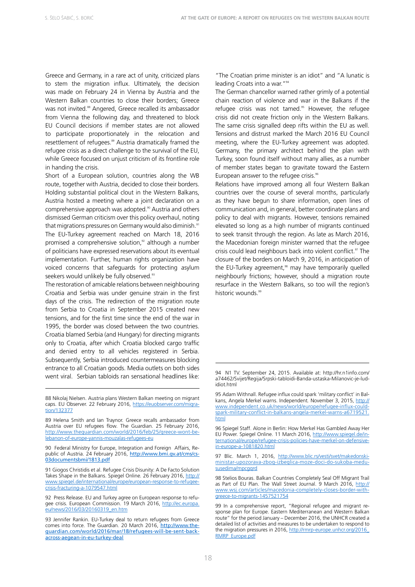Greece and Germany, in a rare act of unity, criticized plans to stem the migration influx. Ultimately, the decision was made on February 24 in Vienna by Austria and the Western Balkan countries to close their borders; Greece was not invited.<sup>88</sup> Angered, Greece recalled its ambassador from Vienna the following day, and threatened to block EU Council decisions if member states are not allowed to participate proportionately in the relocation and resettlement of refugees.<sup>89</sup> Austria dramatically framed the refugee crisis as a direct challenge to the survival of the EU, while Greece focused on unjust criticism of its frontline role in handing the crisis.

Short of a European solution, countries along the WB route, together with Austria, decided to close their borders. Holding substantial political clout in the Western Balkans, Austria hosted a meeting where a joint declaration on a comprehensive approach was adopted.<sup>90</sup> Austria and others dismissed German criticism over this policy overhaul, noting that migrations pressures on Germany would also diminish.<sup>91</sup> The EU-Turkey agreement reached on March 18, 2016 promised a comprehensive solution, $92$  although a number of politicians have expressed reservations about its eventual implementation. Further, human rights organization have voiced concerns that safeguards for protecting asylum seekers would unlikely be fully observed.<sup>93</sup>

The restoration of amicable relations between neighbouring Croatia and Serbia was under genuine strain in the first days of the crisis. The redirection of the migration route from Serbia to Croatia in September 2015 created new tensions, and for the first time since the end of the war in 1995, the border was closed between the two countries. Croatia blamed Serbia (and Hungary) for directing migrants only to Croatia, after which Croatia blocked cargo traffic and denied entry to all vehicles registered in Serbia. Subsequently, Serbia introduced countermeasures blocking entrance to all Croatian goods. Media outlets on both sides went viral. Serbian tabloids ran sensational headlines like:

90 Federal Ministry for Europe, Integration and Foreign Affairs, Republic of Austria. 24 February 2016, [http://www.bmi.gv.at/cms/cs-](http://www.bmi.gv.at/cms/cs03documentsbmi/1813.pdf)[03documentsbmi/1813.pdf](http://www.bmi.gv.at/cms/cs03documentsbmi/1813.pdf)

91 Giogos Christidis et al. Refugee Crisis Disunity: A De Facto Solution Takes Shape in the Balkans. Spiegel Online. 26 February 2016, [http://](http://www.spiegel.de/international/europe/european-response-to-refugee-crisis-fracturing-a-1079547.html) [www.spiegel.de/international/europe/european-response-to-refugee](http://www.spiegel.de/international/europe/european-response-to-refugee-crisis-fracturing-a-1079547.html)[crisis-fracturing-a-1079547.html](http://www.spiegel.de/international/europe/european-response-to-refugee-crisis-fracturing-a-1079547.html)

92 Press Release. EU and Turkey agree on European response to refugee crisis. European Commission. 19 March 2016, [http://ec.europa.](http://ec.europa.eu/news/2016/03/20160319_en.htm) [eu/news/2016/03/20160319\\_en.htm](http://ec.europa.eu/news/2016/03/20160319_en.htm)

93 Jennifer Rankin. EU-Turkey deal to return refugees from Greece comes into force. The Guardian*.* 20 March 2016, [http://www.the](http://www.theguardian.com/world/2016/mar/18/refugees-will-be-sent-back-across-aegean-in-eu-turkey-deal)[guardian.com/world/2016/mar/18/refugees-will-be-sent-back](http://www.theguardian.com/world/2016/mar/18/refugees-will-be-sent-back-across-aegean-in-eu-turkey-deal)[across-aegean-in-eu-turkey-deal](http://www.theguardian.com/world/2016/mar/18/refugees-will-be-sent-back-across-aegean-in-eu-turkey-deal)

"The Croatian prime minister is an idiot" and "A lunatic is leading Croats into a war."94

The German chancellor warned rather grimly of a potential chain reaction of violence and war in the Balkans if the refugee crisis was not tamed.<sup>95</sup> However, the refugee crisis did not create friction only in the Western Balkans. The same crisis signalled deep rifts within the EU as well. Tensions and distrust marked the March 2016 EU Council meeting, where the EU-Turkey agreement was adopted. Germany, the primary architect behind the plan with Turkey, soon found itself without many allies, as a number of member states began to gravitate toward the Eastern European answer to the refugee crisis.<sup>96</sup>

Relations have improved among all four Western Balkan countries over the course of several months, particularly as they have begun to share information, open lines of communication and, in general, better coordinate plans and policy to deal with migrants. However, tensions remained elevated so long as a high number of migrants continued to seek transit through the region. As late as March 2016, the Macedonian foreign minister warned that the refugee crisis could lead neighbours back into violent conflict.<sup>97</sup> The closure of the borders on March 9, 2016, in anticipation of the EU-Turkey agreement, $98$  may have temporarily quelled neighbourly frictions; however, should a migration route resurface in the Western Balkans, so too will the region's historic wounds.<sup>99</sup>

<sup>88</sup> Nikolaj Nielsen. Austria plans Western Balkan meeting on migrant caps. EU Observer. 22 February 2016, [https://euobserver.com/migra](https://euobserver.com/migration/132377)[tion/132377](https://euobserver.com/migration/132377)

<sup>89</sup> Helena Smith and Ian Traynor. Greece recalls ambassador from Austria over EU refugees flow. The Guardian. 25 February 2016, [http://www.theguardian.com/world/2016/feb/25/greece-wont-be](http://www.theguardian.com/world/2016/feb/25/greece-wont-be-lebanon-of-europe-yannis-mouzalas-refugees-eu)[lebanon-of-europe-yannis-mouzalas-refugees-eu](http://www.theguardian.com/world/2016/feb/25/greece-wont-be-lebanon-of-europe-yannis-mouzalas-refugees-eu)

<sup>94</sup> N1 TV. September 24, 2015. Available at: http://hr.n1info.com/ a74462/Svijet/Regija/Srpski-tabloidi-Banda-ustaska-Milanovic-je-ludidiot html

<sup>95</sup> Adam Withnall. Refugee influx could spark 'military conflict' in Balkans, Angela Merkel warns. Independent*.* November 3, 2015, [http://](http://www.independent.co.uk/news/world/europe/refugee-influx-could-spark-military-conflict-in-balkans-angela-merkel-warns-a6719521.html) [www.independent.co.uk/news/world/europe/refugee-influx-could](http://www.independent.co.uk/news/world/europe/refugee-influx-could-spark-military-conflict-in-balkans-angela-merkel-warns-a6719521.html)[spark-military-conflict-in-balkans-angela-merkel-warns-a6719521.](http://www.independent.co.uk/news/world/europe/refugee-influx-could-spark-military-conflict-in-balkans-angela-merkel-warns-a6719521.html) [html](http://www.independent.co.uk/news/world/europe/refugee-influx-could-spark-military-conflict-in-balkans-angela-merkel-warns-a6719521.html) 

<sup>96</sup> Spiegel Staff. Alone in Berlin: How Merkel Has Gambled Away Her EU Power. Spiegel Online. 11 March 2016, [http://www.spiegel.de/in](http://www.spiegel.de/international/europe/refugee-crisis-policies-have-merkel-on-defensive-in-europe-a-1081820.html)[ternational/europe/refugee-crisis-policies-have-merkel-on-defensive](http://www.spiegel.de/international/europe/refugee-crisis-policies-have-merkel-on-defensive-in-europe-a-1081820.html)[in-europe-a-1081820.html](http://www.spiegel.de/international/europe/refugee-crisis-policies-have-merkel-on-defensive-in-europe-a-1081820.html)

<sup>97</sup> Blic. March 1, 2016, [http://www.blic.rs/vesti/svet/makedonski](http://www.blic.rs/vesti/svet/makedonski-ministar-upozorava-zbog-izbeglica-moze-doci-do-sukoba-medu-susedima/mpcgqrd)[ministar-upozorava-zbog-izbeglica-moze-doci-do-sukoba-medu](http://www.blic.rs/vesti/svet/makedonski-ministar-upozorava-zbog-izbeglica-moze-doci-do-sukoba-medu-susedima/mpcgqrd)susedima/mpcggrd

<sup>98</sup> Stelios Bouras. Balkan Countries Completely Seal Off Migrant Trail as Part of EU Plan. The Wall Street Journal. 9 March 2016, [http://](http://www.wsj.com/articles/macedonia-completely-closes-border-with-greece-to-migrants-1457521754) [www.wsj.com/articles/macedonia-completely-closes-border-with](http://www.wsj.com/articles/macedonia-completely-closes-border-with-greece-to-migrants-1457521754)[greece-to-migrants-1457521754](http://www.wsj.com/articles/macedonia-completely-closes-border-with-greece-to-migrants-1457521754)

<sup>99</sup> In a comprehensive report, "Regional refugee and migrant response plan for Europe. Eastern Mediterranean and Western Balkan route" for the period January – December 2016, the UNHCR created a detailed list of activities and measures to be undertaken to respond to the migration pressures in 2016, [http://rmrp-europe.unhcr.org/2016\\_](http://rmrp-europe.unhcr.org/2016_RMRP_Europe.pdf) [RMRP\\_Europe.pdf](http://rmrp-europe.unhcr.org/2016_RMRP_Europe.pdf)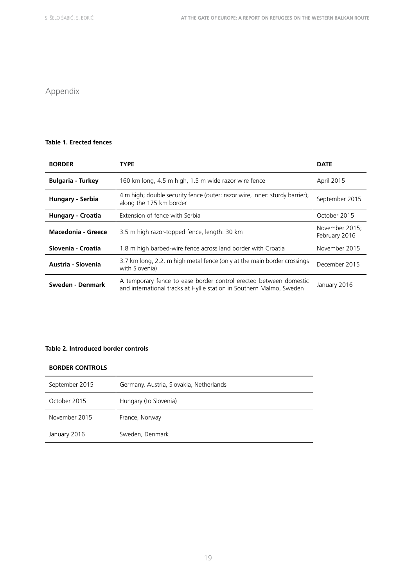# Appendix

#### **Table 1. Erected fences**

| <b>BORDER</b>            | <b>TYPE</b>                                                                                                                               | <b>DATE</b>                     |
|--------------------------|-------------------------------------------------------------------------------------------------------------------------------------------|---------------------------------|
| <b>Bulgaria - Turkey</b> | 160 km long, 4.5 m high, 1.5 m wide razor wire fence                                                                                      | April 2015                      |
| Hungary - Serbia         | 4 m high; double security fence (outer: razor wire, inner: sturdy barrier);<br>along the 175 km border                                    | September 2015                  |
| <b>Hungary - Croatia</b> | Extension of fence with Serbia                                                                                                            | October 2015                    |
| Macedonia - Greece       | 3.5 m high razor-topped fence, length: 30 km                                                                                              | November 2015;<br>February 2016 |
| Slovenia - Croatia       | 1.8 m high barbed-wire fence across land border with Croatia                                                                              | November 2015                   |
| Austria - Slovenia       | 3.7 km long, 2.2. m high metal fence (only at the main border crossings<br>with Slovenia)                                                 | December 2015                   |
| Sweden - Denmark         | A temporary fence to ease border control erected between domestic<br>and international tracks at Hyllie station in Southern Malmo, Sweden | January 2016                    |

#### **Table 2. Introduced border controls**

#### **BORDER CONTROLS**

| September 2015 | Germany, Austria, Slovakia, Netherlands |
|----------------|-----------------------------------------|
| October 2015   | Hungary (to Slovenia)                   |
| November 2015  | France, Norway                          |
| January 2016   | Sweden, Denmark                         |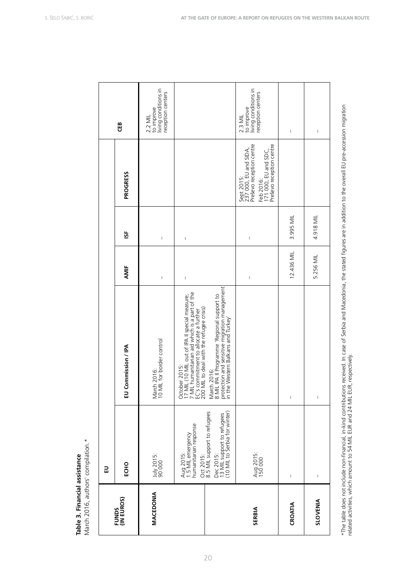# Table 3. Financial assistance **Table 3. Financial assistance**

March 2016, authors' compilation.\* March 2016, authors' compilation.\*

|                     | 교                                                                                                                                                                                                                                                                                                                                                                                |                                                                                                                                                                                                      |                                                                                                                                                                                                                                                                                                                                                                                  |                                                                                                                                                                                                                                                                                                                                                                                  |                                                                                                                                  |                                                                                                                                                                                                                                                                                                                                                                                  |
|---------------------|----------------------------------------------------------------------------------------------------------------------------------------------------------------------------------------------------------------------------------------------------------------------------------------------------------------------------------------------------------------------------------|------------------------------------------------------------------------------------------------------------------------------------------------------------------------------------------------------|----------------------------------------------------------------------------------------------------------------------------------------------------------------------------------------------------------------------------------------------------------------------------------------------------------------------------------------------------------------------------------|----------------------------------------------------------------------------------------------------------------------------------------------------------------------------------------------------------------------------------------------------------------------------------------------------------------------------------------------------------------------------------|----------------------------------------------------------------------------------------------------------------------------------|----------------------------------------------------------------------------------------------------------------------------------------------------------------------------------------------------------------------------------------------------------------------------------------------------------------------------------------------------------------------------------|
| FUNDS<br>(IN EUROS) | ECHO                                                                                                                                                                                                                                                                                                                                                                             | EU Commission / IPA                                                                                                                                                                                  | AMIF                                                                                                                                                                                                                                                                                                                                                                             | ist                                                                                                                                                                                                                                                                                                                                                                              | PROGRESS                                                                                                                         | ŒB                                                                                                                                                                                                                                                                                                                                                                               |
| <b>MACEDONIA</b>    | July 2015:<br>90 000                                                                                                                                                                                                                                                                                                                                                             | March 2016:<br>10 MIL for border control                                                                                                                                                             | $\mathbf{I}$                                                                                                                                                                                                                                                                                                                                                                     | $\begin{array}{c} \rule{0pt}{2.5ex} \rule{0pt}{2.5ex} \rule{0pt}{2.5ex} \rule{0pt}{2.5ex} \rule{0pt}{2.5ex} \rule{0pt}{2.5ex} \rule{0pt}{2.5ex} \rule{0pt}{2.5ex} \rule{0pt}{2.5ex} \rule{0pt}{2.5ex} \rule{0pt}{2.5ex} \rule{0pt}{2.5ex} \rule{0pt}{2.5ex} \rule{0pt}{2.5ex} \rule{0pt}{2.5ex} \rule{0pt}{2.5ex} \rule{0pt}{2.5ex} \rule{0pt}{2.5ex} \rule{0pt}{2.5ex} \rule{0$ |                                                                                                                                  | living conditions in<br>reception centers<br>to improve<br>2.2 MIL                                                                                                                                                                                                                                                                                                               |
|                     | Aug 2015:<br>1.5 MIL emergency<br>humanitarian response                                                                                                                                                                                                                                                                                                                          | October 2015:<br>17 MIL (10 MIL out of IPA II special measure;<br>7 MIL humanitarian aid which is a part of the<br>EC's commitment to allocate a further<br>200 MIL to deal with the refugee crisis) | $\mathsf I$                                                                                                                                                                                                                                                                                                                                                                      | $\begin{array}{c} \rule{0pt}{2.5ex} \rule{0pt}{2.5ex} \rule{0pt}{2.5ex} \rule{0pt}{2.5ex} \rule{0pt}{2.5ex} \rule{0pt}{2.5ex} \rule{0pt}{2.5ex} \rule{0pt}{2.5ex} \rule{0pt}{2.5ex} \rule{0pt}{2.5ex} \rule{0pt}{2.5ex} \rule{0pt}{2.5ex} \rule{0pt}{2.5ex} \rule{0pt}{2.5ex} \rule{0pt}{2.5ex} \rule{0pt}{2.5ex} \rule{0pt}{2.5ex} \rule{0pt}{2.5ex} \rule{0pt}{2.5ex} \rule{0$ |                                                                                                                                  |                                                                                                                                                                                                                                                                                                                                                                                  |
|                     | Oct 2015:<br>8.5 MIL support to refugees<br>Dec 2015:<br>13 MIL support to refugees<br>(10 MIL to Serbia for winter)                                                                                                                                                                                                                                                             | March 2016:<br>8 MIL IPA II Programme 'Regional support to<br>protection and sensitive migration management<br>in the Western Balkans and Turkey'                                                    |                                                                                                                                                                                                                                                                                                                                                                                  |                                                                                                                                                                                                                                                                                                                                                                                  |                                                                                                                                  |                                                                                                                                                                                                                                                                                                                                                                                  |
| <b>SERBIA</b>       | Aug 2015:<br>150 000                                                                                                                                                                                                                                                                                                                                                             |                                                                                                                                                                                                      | $\begin{array}{c} \rule{0pt}{2.5ex} \rule{0pt}{2.5ex} \rule{0pt}{2.5ex} \rule{0pt}{2.5ex} \rule{0pt}{2.5ex} \rule{0pt}{2.5ex} \rule{0pt}{2.5ex} \rule{0pt}{2.5ex} \rule{0pt}{2.5ex} \rule{0pt}{2.5ex} \rule{0pt}{2.5ex} \rule{0pt}{2.5ex} \rule{0pt}{2.5ex} \rule{0pt}{2.5ex} \rule{0pt}{2.5ex} \rule{0pt}{2.5ex} \rule{0pt}{2.5ex} \rule{0pt}{2.5ex} \rule{0pt}{2.5ex} \rule{0$ | $\begin{array}{c} \rule{0pt}{2.5ex} \rule{0pt}{2.5ex} \rule{0pt}{2.5ex} \rule{0pt}{2.5ex} \rule{0pt}{2.5ex} \rule{0pt}{2.5ex} \rule{0pt}{2.5ex} \rule{0pt}{2.5ex} \rule{0pt}{2.5ex} \rule{0pt}{2.5ex} \rule{0pt}{2.5ex} \rule{0pt}{2.5ex} \rule{0pt}{2.5ex} \rule{0pt}{2.5ex} \rule{0pt}{2.5ex} \rule{0pt}{2.5ex} \rule{0pt}{2.5ex} \rule{0pt}{2.5ex} \rule{0pt}{2.5ex} \rule{0$ | Sept 2015:<br>237 000, EU and SIDA,<br>Preševo reception centre<br>Feb 2016:<br>171 000, EU and SDC,<br>Preševo reception centre | to improve<br>living conditions in<br>reception centers<br>2.3 MIL                                                                                                                                                                                                                                                                                                               |
| CROATIA             | $\sf I$                                                                                                                                                                                                                                                                                                                                                                          | $\mathsf I$                                                                                                                                                                                          | 12.436 MIL                                                                                                                                                                                                                                                                                                                                                                       | 3.995 MIL                                                                                                                                                                                                                                                                                                                                                                        |                                                                                                                                  | $\begin{array}{c} \rule{0pt}{2.5ex} \rule{0pt}{2.5ex} \rule{0pt}{2.5ex} \rule{0pt}{2.5ex} \rule{0pt}{2.5ex} \rule{0pt}{2.5ex} \rule{0pt}{2.5ex} \rule{0pt}{2.5ex} \rule{0pt}{2.5ex} \rule{0pt}{2.5ex} \rule{0pt}{2.5ex} \rule{0pt}{2.5ex} \rule{0pt}{2.5ex} \rule{0pt}{2.5ex} \rule{0pt}{2.5ex} \rule{0pt}{2.5ex} \rule{0pt}{2.5ex} \rule{0pt}{2.5ex} \rule{0pt}{2.5ex} \rule{0$ |
| SLOVENIA            | $\begin{array}{c} \rule{0pt}{2.5ex} \rule{0pt}{2.5ex} \rule{0pt}{2.5ex} \rule{0pt}{2.5ex} \rule{0pt}{2.5ex} \rule{0pt}{2.5ex} \rule{0pt}{2.5ex} \rule{0pt}{2.5ex} \rule{0pt}{2.5ex} \rule{0pt}{2.5ex} \rule{0pt}{2.5ex} \rule{0pt}{2.5ex} \rule{0pt}{2.5ex} \rule{0pt}{2.5ex} \rule{0pt}{2.5ex} \rule{0pt}{2.5ex} \rule{0pt}{2.5ex} \rule{0pt}{2.5ex} \rule{0pt}{2.5ex} \rule{0$ | $\mathsf I$                                                                                                                                                                                          | 5.256 MIL                                                                                                                                                                                                                                                                                                                                                                        | 4.918 MIL                                                                                                                                                                                                                                                                                                                                                                        |                                                                                                                                  | $\begin{array}{c} \rule{0pt}{2.5ex} \rule{0pt}{2.5ex} \rule{0pt}{2.5ex} \rule{0pt}{2.5ex} \rule{0pt}{2.5ex} \rule{0pt}{2.5ex} \rule{0pt}{2.5ex} \rule{0pt}{2.5ex} \rule{0pt}{2.5ex} \rule{0pt}{2.5ex} \rule{0pt}{2.5ex} \rule{0pt}{2.5ex} \rule{0pt}{2.5ex} \rule{0pt}{2.5ex} \rule{0pt}{2.5ex} \rule{0pt}{2.5ex} \rule{0pt}{2.5ex} \rule{0pt}{2.5ex} \rule{0pt}{2.5ex} \rule{0$ |
|                     |                                                                                                                                                                                                                                                                                                                                                                                  |                                                                                                                                                                                                      |                                                                                                                                                                                                                                                                                                                                                                                  |                                                                                                                                                                                                                                                                                                                                                                                  |                                                                                                                                  |                                                                                                                                                                                                                                                                                                                                                                                  |

20

\*The table does not include non-financial, in-kind contributions received. In case of Serbia and Macedonia, the stated figures are in addition to the overall EU pre-accession migration<br>related activities, which amount to 5 \*The table does not include non-financial, in-kind contributions received. In case of Serbia and Macedonia, the stated figures are in addition to the overall EU pre-accession migration related activities, which amount to 54 MIL EUR and 24 MIL EUR, respectively.